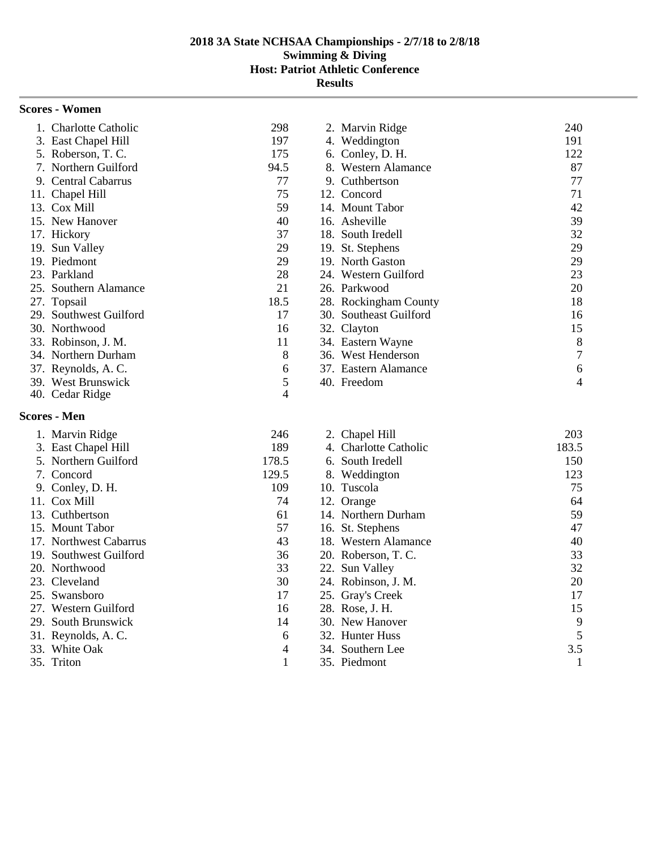| <b>Scores - Women</b>  |      |                         |     |
|------------------------|------|-------------------------|-----|
| 1. Charlotte Catholic  | 298  | 2. Marvin Ridge         | 240 |
| 3. East Chapel Hill    | 197  | 4. Weddington           | 191 |
| 5. Roberson, T.C.      | 175  | 6. Conley, D. H.        | 122 |
| 7. Northern Guilford   | 94.5 | <b>Western Alamance</b> | 87  |
| 9. Central Cabarrus    | 77   | 9. Cuthbertson          | 77  |
| 11. Chapel Hill        | 75   | 12. Concord             | 71  |
| 13. Cox Mill           | 59   | 14. Mount Tabor         | 42  |
| 15. New Hanover        | 40   | 16. Asheville           | 39  |
| 17. Hickory            | 37   | 18. South Iredell       | 32  |
| 19. Sun Valley         | 29   | 19. St. Stephens        | 29  |
| 19. Piedmont           | 29   | 19. North Gaston        | 29  |
| 23. Parkland           | 28   | 24. Western Guilford    | 23  |
| 25. Southern Alamance  | 21   | 26. Parkwood            | 20  |
| 27. Topsail            | 18.5 | 28. Rockingham County   | 18  |
| 29. Southwest Guilford | 17   | 30. Southeast Guilford  | 16  |
| 30. Northwood          | 16   | 32. Clayton             | 15  |
| 33. Robinson, J. M.    | 11   | 34. Eastern Wayne       | 8   |
| 34. Northern Durham    | 8    | 36. West Henderson      | 7   |
| 37. Reynolds, A.C.     | 6    | 37. Eastern Alamance    | 6   |
| 39. West Brunswick     | 5    | 40. Freedom             | 4   |
| 40. Cedar Ridge        | 4    |                         |     |

#### **Scores - Men**

| 1. Marvin Ridge        | 246   | 2. Chapel Hill        | 203   |
|------------------------|-------|-----------------------|-------|
| 3. East Chapel Hill    | 189   | 4. Charlotte Catholic | 183.5 |
| 5. Northern Guilford   | 178.5 | 6. South Iredell      | 150   |
| 7. Concord             | 129.5 | 8. Weddington         | 123   |
| 9. Conley, D. H.       | 109   | 10. Tuscola           | 75    |
| 11. Cox Mill           | 74    | 12. Orange            | 64    |
| 13. Cuthbertson        | 61    | 14. Northern Durham   | 59    |
| 15. Mount Tabor        | 57    | 16. St. Stephens      | 47    |
| 17. Northwest Cabarrus | 43    | 18. Western Alamance  | 40    |
| 19. Southwest Guilford | 36    | 20. Roberson, T. C.   | 33    |
| 20. Northwood          | 33    | 22. Sun Valley        | 32    |
| 23. Cleveland          | 30    | 24. Robinson, J. M.   | 20    |
| 25. Swansboro          | 17    | 25. Gray's Creek      | 17    |
| 27. Western Guilford   | 16    | 28. Rose, J. H.       | 15    |
| 29. South Brunswick    | 14    | 30. New Hanover       | 9     |
| 31. Reynolds, A.C.     | 6     | 32. Hunter Huss       | 5     |
| 33. White Oak          | 4     | 34. Southern Lee      | 3.5   |
| 35. Triton             |       | 35. Piedmont          |       |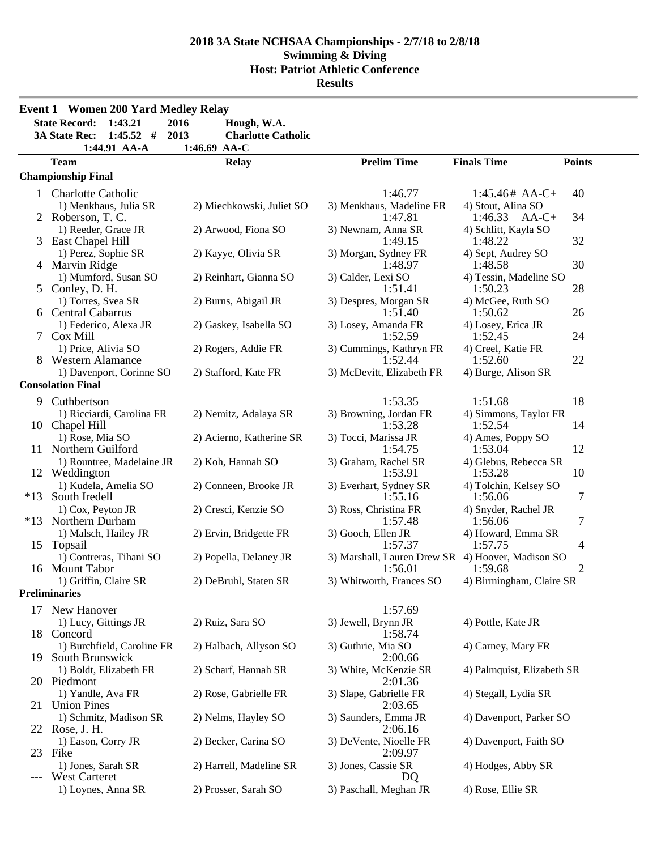|        | <b>Event 1 Women 200 Yard Medley Relay</b>           |                                   |                                                              |                                             |  |
|--------|------------------------------------------------------|-----------------------------------|--------------------------------------------------------------|---------------------------------------------|--|
|        | <b>State Record:</b><br>1:43.21                      | 2016<br>Hough, W.A.               |                                                              |                                             |  |
|        | <b>3A State Rec:</b><br>$1:45.52$ #                  | 2013<br><b>Charlotte Catholic</b> |                                                              |                                             |  |
|        | 1:44.91 AA-A                                         | 1:46.69 AA-C                      |                                                              |                                             |  |
|        | <b>Team</b>                                          | <b>Relay</b>                      | <b>Prelim Time</b>                                           | <b>Finals Time</b><br><b>Points</b>         |  |
|        | <b>Championship Final</b>                            |                                   |                                                              |                                             |  |
| 1      | <b>Charlotte Catholic</b>                            |                                   | 1:46.77                                                      | 40<br>$1:45.46#$ AA-C+                      |  |
|        | 1) Menkhaus, Julia SR<br>2 Roberson, T. C.           | 2) Miechkowski, Juliet SO         | 3) Menkhaus, Madeline FR<br>1:47.81                          | 4) Stout, Alina SO<br>$1:46.33$ AA-C+<br>34 |  |
|        | 1) Reeder, Grace JR                                  | 2) Arwood, Fiona SO               | 3) Newnam, Anna SR                                           | 4) Schlitt, Kayla SO                        |  |
|        | 3 East Chapel Hill                                   |                                   | 1:49.15                                                      | 32<br>1:48.22                               |  |
|        | 1) Perez, Sophie SR                                  | 2) Kayye, Olivia SR               | 3) Morgan, Sydney FR                                         | 4) Sept, Audrey SO                          |  |
|        | 4 Marvin Ridge                                       |                                   | 1:48.97                                                      | 30<br>1:48.58                               |  |
|        | 1) Mumford, Susan SO                                 | 2) Reinhart, Gianna SO            | 3) Calder, Lexi SO                                           | 4) Tessin, Madeline SO<br>28                |  |
|        | 5 Conley, D. H.<br>1) Torres, Svea SR                | 2) Burns, Abigail JR              | 1:51.41<br>3) Despres, Morgan SR                             | 1:50.23<br>4) McGee, Ruth SO                |  |
|        | 6 Central Cabarrus                                   |                                   | 1:51.40                                                      | 26<br>1:50.62                               |  |
|        | 1) Federico, Alexa JR                                | 2) Gaskey, Isabella SO            | 3) Losey, Amanda FR                                          | 4) Losey, Erica JR                          |  |
| $\tau$ | <b>Cox Mill</b>                                      |                                   | 1:52.59                                                      | 1:52.45<br>24                               |  |
|        | 1) Price, Alivia SO                                  | 2) Rogers, Addie FR               | 3) Cummings, Kathryn FR                                      | 4) Creel, Katie FR                          |  |
|        | 8 Western Alamance                                   |                                   | 1:52.44                                                      | 22<br>1:52.60                               |  |
|        | 1) Davenport, Corinne SO<br><b>Consolation Final</b> | 2) Stafford, Kate FR              | 3) McDevitt, Elizabeth FR                                    | 4) Burge, Alison SR                         |  |
|        |                                                      |                                   | 1:53.35                                                      | 18<br>1:51.68                               |  |
| 9.     | Cuthbertson<br>1) Ricciardi, Carolina FR             | 2) Nemitz, Adalaya SR             | 3) Browning, Jordan FR                                       | 4) Simmons, Taylor FR                       |  |
|        | 10 Chapel Hill                                       |                                   | 1:53.28                                                      | 1:52.54<br>14                               |  |
|        | 1) Rose, Mia SO                                      | 2) Acierno, Katherine SR          | 3) Tocci, Marissa JR                                         | 4) Ames, Poppy SO                           |  |
|        | 11 Northern Guilford                                 |                                   | 1:54.75                                                      | 12<br>1:53.04                               |  |
|        | 1) Rountree, Madelaine JR                            | 2) Koh, Hannah SO                 | 3) Graham, Rachel SR                                         | 4) Glebus, Rebecca SR                       |  |
|        | 12 Weddington                                        |                                   | 1:53.91                                                      | 10<br>1:53.28                               |  |
| $*13$  | 1) Kudela, Amelia SO<br>South Iredell                | 2) Conneen, Brooke JR             | 3) Everhart, Sydney SR<br>1:55.16                            | 4) Tolchin, Kelsey SO<br>7<br>1:56.06       |  |
|        | 1) Cox, Peyton JR                                    | 2) Cresci, Kenzie SO              | 3) Ross, Christina FR                                        | 4) Snyder, Rachel JR                        |  |
|        | *13 Northern Durham                                  |                                   | 1:57.48                                                      | 7<br>1:56.06                                |  |
|        | 1) Malsch, Hailey JR                                 | 2) Ervin, Bridgette FR            | 3) Gooch, Ellen JR                                           | 4) Howard, Emma SR                          |  |
|        | 15 Topsail                                           |                                   | 1:57.37                                                      | 1:57.75<br>4                                |  |
|        | 1) Contreras, Tihani SO<br>16 Mount Tabor            | 2) Popella, Delaney JR            | 3) Marshall, Lauren Drew SR 4) Hoover, Madison SO<br>1:56.01 | 1:59.68<br>2                                |  |
|        | 1) Griffin, Claire SR                                | 2) DeBruhl, Staten SR             | 3) Whitworth, Frances SO                                     | 4) Birmingham, Claire SR                    |  |
|        | <b>Preliminaries</b>                                 |                                   |                                                              |                                             |  |
|        | 17 New Hanover                                       |                                   | 1:57.69                                                      |                                             |  |
|        | 1) Lucy, Gittings JR                                 | 2) Ruiz, Sara SO                  | 3) Jewell, Brynn JR                                          | 4) Pottle, Kate JR                          |  |
|        | 18 Concord                                           |                                   | 1:58.74                                                      |                                             |  |
|        | 1) Burchfield, Caroline FR                           | 2) Halbach, Allyson SO            | 3) Guthrie, Mia SO                                           | 4) Carney, Mary FR                          |  |
| 19.    | South Brunswick<br>1) Boldt, Elizabeth FR            | 2) Scharf, Hannah SR              | 2:00.66                                                      |                                             |  |
|        | 20 Piedmont                                          |                                   | 3) White, McKenzie SR<br>2:01.36                             | 4) Palmquist, Elizabeth SR                  |  |
|        | 1) Yandle, Ava FR                                    | 2) Rose, Gabrielle FR             | 3) Slape, Gabrielle FR                                       | 4) Stegall, Lydia SR                        |  |
| 21     | <b>Union Pines</b>                                   |                                   | 2:03.65                                                      |                                             |  |
|        | 1) Schmitz, Madison SR                               | 2) Nelms, Hayley SO               | 3) Saunders, Emma JR                                         | 4) Davenport, Parker SO                     |  |
|        | 22 Rose, J. H.                                       |                                   | 2:06.16                                                      |                                             |  |
|        | 1) Eason, Corry JR<br>23 Fike                        | 2) Becker, Carina SO              | 3) DeVente, Nioelle FR<br>2:09.97                            | 4) Davenport, Faith SO                      |  |
|        | 1) Jones, Sarah SR                                   | 2) Harrell, Madeline SR           | 3) Jones, Cassie SR                                          | 4) Hodges, Abby SR                          |  |
|        | <b>West Carteret</b>                                 |                                   | DQ                                                           |                                             |  |
|        | 1) Loynes, Anna SR                                   | 2) Prosser, Sarah SO              | 3) Paschall, Meghan JR                                       | 4) Rose, Ellie SR                           |  |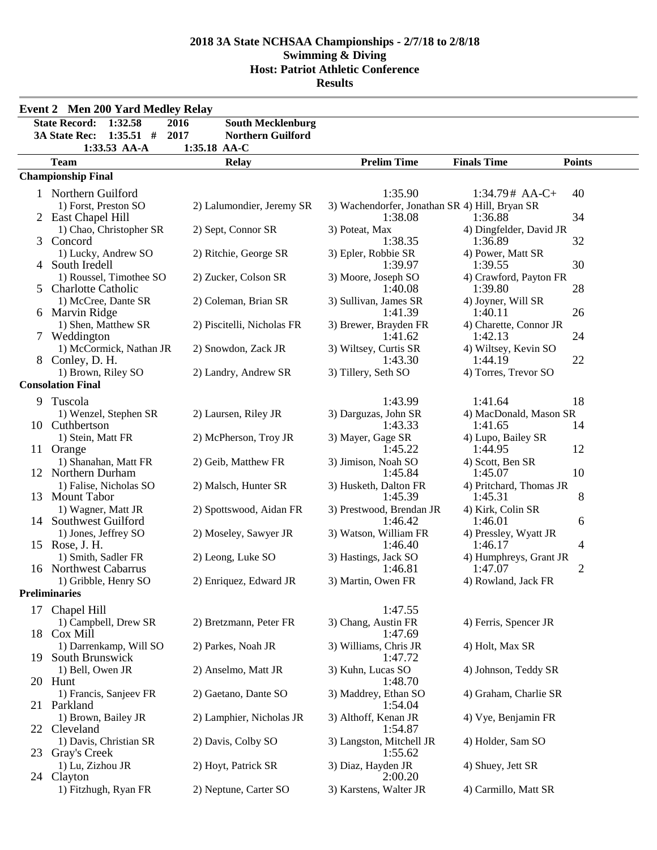|     | <b>Event 2 Men 200 Yard Medley Relay</b>        |                                  |                                                           |                                    |               |
|-----|-------------------------------------------------|----------------------------------|-----------------------------------------------------------|------------------------------------|---------------|
|     | <b>State Record:</b><br>1:32.58                 | 2016<br><b>South Mecklenburg</b> |                                                           |                                    |               |
|     | $1:35.51$ #<br><b>3A State Rec:</b>             | 2017<br><b>Northern Guilford</b> |                                                           |                                    |               |
|     | 1:33.53 AA-A                                    | 1:35.18 AA-C                     |                                                           |                                    |               |
|     | <b>Team</b>                                     | <b>Relay</b>                     | <b>Prelim Time</b>                                        | <b>Finals Time</b>                 | <b>Points</b> |
|     | <b>Championship Final</b>                       |                                  |                                                           |                                    |               |
|     | 1 Northern Guilford                             |                                  | 1:35.90                                                   | $1:34.79# AA-C+$                   | 40            |
|     | 1) Forst, Preston SO<br>2 East Chapel Hill      | 2) Lalumondier, Jeremy SR        | 3) Wachendorfer, Jonathan SR 4) Hill, Bryan SR<br>1:38.08 | 1:36.88                            | 34            |
|     | 1) Chao, Christopher SR<br>3 Concord            | 2) Sept, Connor SR               | 3) Poteat, Max<br>1:38.35                                 | 4) Dingfelder, David JR<br>1:36.89 | 32            |
|     | 1) Lucky, Andrew SO<br>4 South Iredell          | 2) Ritchie, George SR            | 3) Epler, Robbie SR<br>1:39.97                            | 4) Power, Matt SR<br>1:39.55       | 30            |
|     | 1) Roussel, Timothee SO<br>5 Charlotte Catholic | 2) Zucker, Colson SR             | 3) Moore, Joseph SO<br>1:40.08                            | 4) Crawford, Payton FR<br>1:39.80  | 28            |
|     | 1) McCree, Dante SR<br>6 Marvin Ridge           | 2) Coleman, Brian SR             | 3) Sullivan, James SR<br>1:41.39                          | 4) Joyner, Will SR<br>1:40.11      | 26            |
|     | 1) Shen, Matthew SR<br>7 Weddington             | 2) Piscitelli, Nicholas FR       | 3) Brewer, Brayden FR<br>1:41.62                          | 4) Charette, Connor JR<br>1:42.13  | 24            |
|     | 1) McCormick, Nathan JR<br>8 Conley, D. H.      | 2) Snowdon, Zack JR              | 3) Wiltsey, Curtis SR<br>1:43.30                          | 4) Wiltsey, Kevin SO<br>1:44.19    | 22            |
|     | 1) Brown, Riley SO<br><b>Consolation Final</b>  | 2) Landry, Andrew SR             | 3) Tillery, Seth SO                                       | 4) Torres, Trevor SO               |               |
|     |                                                 |                                  |                                                           |                                    |               |
| 9   | Tuscola<br>1) Wenzel, Stephen SR                | 2) Laursen, Riley JR             | 1:43.99<br>3) Darguzas, John SR                           | 1:41.64<br>4) MacDonald, Mason SR  | 18            |
|     | 10 Cuthbertson<br>1) Stein, Matt FR             | 2) McPherson, Troy JR            | 1:43.33<br>3) Mayer, Gage SR                              | 1:41.65                            | 14            |
|     | 11 Orange                                       |                                  | 1:45.22                                                   | 4) Lupo, Bailey SR<br>1:44.95      | 12            |
|     | 1) Shanahan, Matt FR<br>12 Northern Durham      | 2) Geib, Matthew FR              | 3) Jimison, Noah SO<br>1:45.84                            | 4) Scott, Ben SR<br>1:45.07        | 10            |
|     | 1) Falise, Nicholas SO<br>13 Mount Tabor        | 2) Malsch, Hunter SR             | 3) Husketh, Dalton FR<br>1:45.39                          | 4) Pritchard, Thomas JR<br>1:45.31 | 8             |
|     | 1) Wagner, Matt JR<br>14 Southwest Guilford     | 2) Spottswood, Aidan FR          | 3) Prestwood, Brendan JR<br>1:46.42                       | 4) Kirk, Colin SR<br>1:46.01       | 6             |
|     | 1) Jones, Jeffrey SO<br>15 Rose, J. H.          | 2) Moseley, Sawyer JR            | 3) Watson, William FR<br>1:46.40                          | 4) Pressley, Wyatt JR<br>1:46.17   | 4             |
|     | 1) Smith, Sadler FR<br>16 Northwest Cabarrus    | 2) Leong, Luke SO                | 3) Hastings, Jack SO<br>1:46.81                           | 4) Humphreys, Grant JR<br>1:47.07  | 2             |
|     | 1) Gribble, Henry SO                            | 2) Enriquez, Edward JR           | 3) Martin, Owen FR                                        | 4) Rowland, Jack FR                |               |
|     | <b>Preliminaries</b>                            |                                  |                                                           |                                    |               |
|     | 17 Chapel Hill                                  |                                  | 1:47.55                                                   |                                    |               |
|     | 1) Campbell, Drew SR<br>18 Cox Mill             | 2) Bretzmann, Peter FR           | 3) Chang, Austin FR<br>1:47.69                            | 4) Ferris, Spencer JR              |               |
| 19. | 1) Darrenkamp, Will SO<br>South Brunswick       | 2) Parkes, Noah JR               | 3) Williams, Chris JR<br>1:47.72                          | 4) Holt, Max SR                    |               |
|     | 1) Bell, Owen JR<br>20 Hunt                     | 2) Anselmo, Matt JR              | 3) Kuhn, Lucas SO<br>1:48.70                              | 4) Johnson, Teddy SR               |               |
|     | 1) Francis, Sanjeev FR<br>21 Parkland           | 2) Gaetano, Dante SO             | 3) Maddrey, Ethan SO<br>1:54.04                           | 4) Graham, Charlie SR              |               |
|     | 1) Brown, Bailey JR<br>22 Cleveland             | 2) Lamphier, Nicholas JR         | 3) Althoff, Kenan JR<br>1:54.87                           | 4) Vye, Benjamin FR                |               |
|     | 1) Davis, Christian SR<br>23 Gray's Creek       | 2) Davis, Colby SO               | 3) Langston, Mitchell JR<br>1:55.62                       | 4) Holder, Sam SO                  |               |
|     | 1) Lu, Zizhou JR<br>24 Clayton                  | 2) Hoyt, Patrick SR              | 3) Diaz, Hayden JR<br>2:00.20                             | 4) Shuey, Jett SR                  |               |
|     | 1) Fitzhugh, Ryan FR                            | 2) Neptune, Carter SO            | 3) Karstens, Walter JR                                    | 4) Carmillo, Matt SR               |               |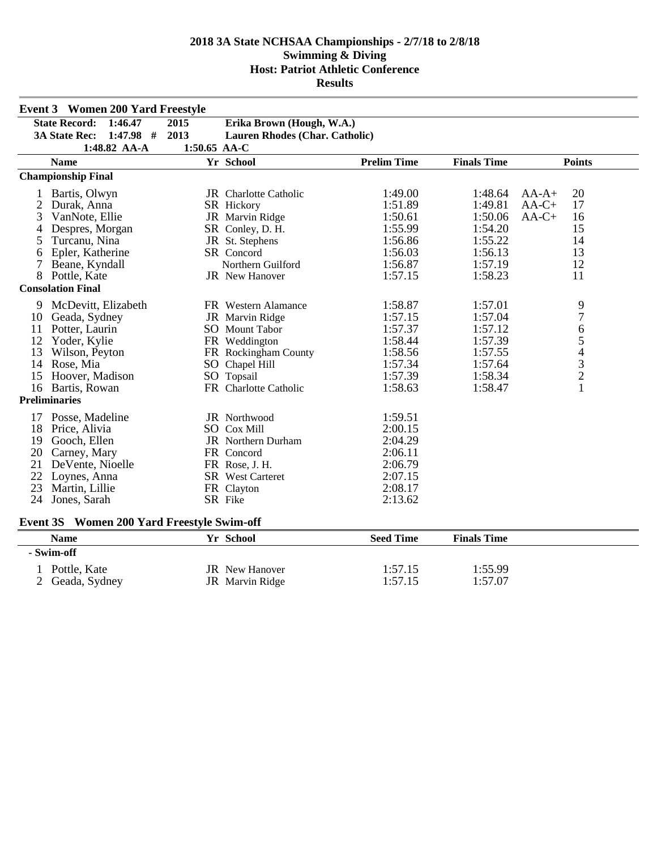|    | <b>Event 3 Women 200 Yard Freestyle</b> |              |                                       |                    |                    |                                                 |
|----|-----------------------------------------|--------------|---------------------------------------|--------------------|--------------------|-------------------------------------------------|
|    | <b>State Record:</b><br>1:46.47         | 2015         | Erika Brown (Hough, W.A.)             |                    |                    |                                                 |
|    | 3A State Rec:<br>$1:47.98$ #            | 2013         | <b>Lauren Rhodes (Char. Catholic)</b> |                    |                    |                                                 |
|    | 1:48.82 AA-A                            | 1:50.65 AA-C |                                       |                    |                    |                                                 |
|    | <b>Name</b>                             |              | Yr School                             | <b>Prelim Time</b> | <b>Finals Time</b> | <b>Points</b>                                   |
|    | <b>Championship Final</b>               |              |                                       |                    |                    |                                                 |
|    | Bartis, Olwyn                           |              | <b>JR</b> Charlotte Catholic          | 1:49.00            | 1:48.64            | 20<br>$AA-A+$                                   |
| 2  | Durak, Anna                             |              | SR Hickory                            | 1:51.89            | 1:49.81            | 17<br>$AA-C+$                                   |
| 3  | VanNote, Ellie                          |              | JR Marvin Ridge                       | 1:50.61            | 1:50.06            | 16<br>$AA-C+$                                   |
|    | Despres, Morgan                         |              | SR Conley, D. H.                      | 1:55.99            | 1:54.20            | 15                                              |
| 5  | Turcanu, Nina                           |              | JR St. Stephens                       | 1:56.86            | 1:55.22            | 14                                              |
| 6  | Epler, Katherine                        |              | SR Concord                            | 1:56.03            | 1:56.13            | 13                                              |
| 7  | Beane, Kyndall                          |              | Northern Guilford                     | 1:56.87            | 1:57.19            | 12                                              |
| 8  | Pottle, Kate                            |              | <b>JR</b> New Hanover                 | 1:57.15            | 1:58.23            | 11                                              |
|    | <b>Consolation Final</b>                |              |                                       |                    |                    |                                                 |
| 9  | McDevitt, Elizabeth                     |              | FR Western Alamance                   | 1:58.87            | 1:57.01            | 9                                               |
| 10 | Geada, Sydney                           |              | JR Marvin Ridge                       | 1:57.15            | 1:57.04            | $\overline{7}$                                  |
| 11 | Potter, Laurin                          |              | SO Mount Tabor                        | 1:57.37            | 1:57.12            |                                                 |
| 12 | Yoder, Kylie                            |              | FR Weddington                         | 1:58.44            | 1:57.39            | $\begin{array}{c} 6 \\ 5 \end{array}$           |
| 13 | Wilson, Peyton                          |              | FR Rockingham County                  | 1:58.56            | 1:57.55            |                                                 |
| 14 | Rose, Mia                               |              | SO Chapel Hill                        | 1:57.34            | 1:57.64            | $\begin{array}{c} 4 \\ 3 \\ 2 \\ 1 \end{array}$ |
| 15 | Hoover, Madison                         |              | SO Topsail                            | 1:57.39            | 1:58.34            |                                                 |
| 16 | Bartis, Rowan                           |              | FR Charlotte Catholic                 | 1:58.63            | 1:58.47            |                                                 |
|    | <b>Preliminaries</b>                    |              |                                       |                    |                    |                                                 |
| 17 | Posse, Madeline                         |              | JR Northwood                          | 1:59.51            |                    |                                                 |
| 18 | Price, Alivia                           |              | SO Cox Mill                           | 2:00.15            |                    |                                                 |
| 19 | Gooch, Ellen                            |              | <b>JR</b> Northern Durham             | 2:04.29            |                    |                                                 |
| 20 | Carney, Mary                            |              | FR Concord                            | 2:06.11            |                    |                                                 |
| 21 | DeVente, Nioelle                        |              | FR Rose, J. H.                        | 2:06.79            |                    |                                                 |
| 22 | Loynes, Anna                            |              | <b>SR</b> West Carteret               | 2:07.15            |                    |                                                 |
| 23 | Martin, Lillie                          |              | FR Clayton                            | 2:08.17            |                    |                                                 |
| 24 | Jones, Sarah                            |              | SR Fike                               | 2:13.62            |                    |                                                 |
|    |                                         |              |                                       |                    |                    |                                                 |

## **Event 3S Women 200 Yard Freestyle Swim-off**

| <b>Name</b>   | Yr School             | <b>Seed Time</b> | <b>Finals Time</b> |  |
|---------------|-----------------------|------------------|--------------------|--|
| - Swim-off    |                       |                  |                    |  |
| Pottle, Kate  | <b>JR</b> New Hanover | l:57.15          | 1:55.99            |  |
| Geada, Sydney | JR Marvin Ridge       | l:57.15          | 1:57.07            |  |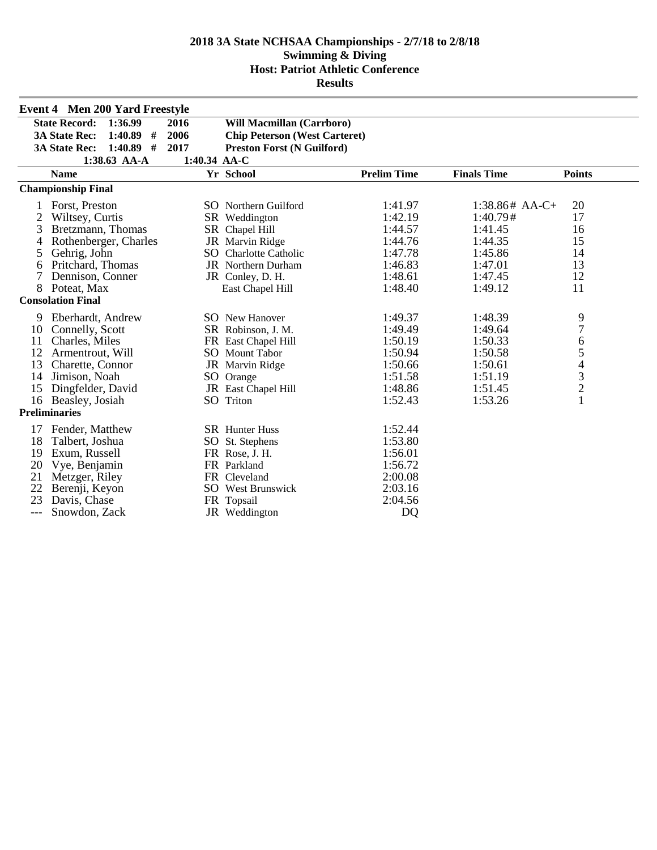|     | <b>Event 4 Men 200 Yard Freestyle</b> |                |                                      |                    |                    |                                                 |
|-----|---------------------------------------|----------------|--------------------------------------|--------------------|--------------------|-------------------------------------------------|
|     | <b>State Record:</b><br>1:36.99       | 2016           | <b>Will Macmillan (Carrboro)</b>     |                    |                    |                                                 |
|     | <b>3A State Rec:</b><br>1:40.89<br>#  | 2006           | <b>Chip Peterson (West Carteret)</b> |                    |                    |                                                 |
|     | 1:40.89<br>#<br><b>3A State Rec:</b>  | 2017           | <b>Preston Forst (N Guilford)</b>    |                    |                    |                                                 |
|     | $1:38.63$ AA-A                        | $1:40.34$ AA-C |                                      |                    |                    |                                                 |
|     | <b>Name</b>                           |                | Yr School                            | <b>Prelim Time</b> | <b>Finals Time</b> | <b>Points</b>                                   |
|     | <b>Championship Final</b>             |                |                                      |                    |                    |                                                 |
|     | Forst, Preston                        |                | <b>SO</b> Northern Guilford          | 1:41.97            | $1:38.86#$ AA-C+   | 20                                              |
| 2   | Wiltsey, Curtis                       |                | SR Weddington                        | 1:42.19            | 1:40.79#           | 17                                              |
| 3   | Bretzmann, Thomas                     |                | SR Chapel Hill                       | 1:44.57            | 1:41.45            | 16                                              |
| 4   | Rothenberger, Charles                 |                | JR Marvin Ridge                      | 1:44.76            | 1:44.35            | 15                                              |
| 5   | Gehrig, John                          |                | SO Charlotte Catholic                | 1:47.78            | 1:45.86            | 14                                              |
| 6   | Pritchard, Thomas                     |                | JR Northern Durham                   | 1:46.83            | 1:47.01            | 13                                              |
|     | Dennison, Conner                      |                | JR Conley, D. H.                     | 1:48.61            | 1:47.45            | 12                                              |
| 8   | Poteat, Max                           |                | East Chapel Hill                     | 1:48.40            | 1:49.12            | 11                                              |
|     | <b>Consolation Final</b>              |                |                                      |                    |                    |                                                 |
| 9   | Eberhardt, Andrew                     |                | <b>SO</b> New Hanover                | 1:49.37            | 1:48.39            | 9                                               |
| 10  | Connelly, Scott                       |                | SR Robinson, J. M.                   | 1:49.49            | 1:49.64            | $\overline{7}$                                  |
| 11  | Charles, Miles                        |                | FR East Chapel Hill                  | 1:50.19            | 1:50.33            | 6                                               |
| 12  | Armentrout, Will                      |                | <b>SO</b> Mount Tabor                | 1:50.94            | 1:50.58            | 5                                               |
| 13  | Charette, Connor                      |                | JR Marvin Ridge                      | 1:50.66            | 1:50.61            |                                                 |
| 14  | Jimison, Noah                         |                | SO Orange                            | 1:51.58            | 1:51.19            | $\begin{array}{c} 4 \\ 3 \\ 2 \\ 1 \end{array}$ |
| 15  | Dingfelder, David                     |                | JR East Chapel Hill                  | 1:48.86            | 1:51.45            |                                                 |
| 16  | Beasley, Josiah                       |                | SO Triton                            | 1:52.43            | 1:53.26            |                                                 |
|     | <b>Preliminaries</b>                  |                |                                      |                    |                    |                                                 |
| 17  | Fender, Matthew                       |                | <b>SR</b> Hunter Huss                | 1:52.44            |                    |                                                 |
| 18  | Talbert, Joshua                       |                | SO St. Stephens                      | 1:53.80            |                    |                                                 |
| 19  | Exum, Russell                         |                | FR Rose, J. H.                       | 1:56.01            |                    |                                                 |
| 20  | Vye, Benjamin                         |                | FR Parkland                          | 1:56.72            |                    |                                                 |
| 21  | Metzger, Riley                        |                | FR Cleveland                         | 2:00.08            |                    |                                                 |
| 22  | Berenji, Keyon                        |                | <b>SO</b> West Brunswick             | 2:03.16            |                    |                                                 |
| 23  | Davis, Chase                          |                | FR Topsail                           | 2:04.56            |                    |                                                 |
| --- | Snowdon, Zack                         |                | JR Weddington                        | DQ                 |                    |                                                 |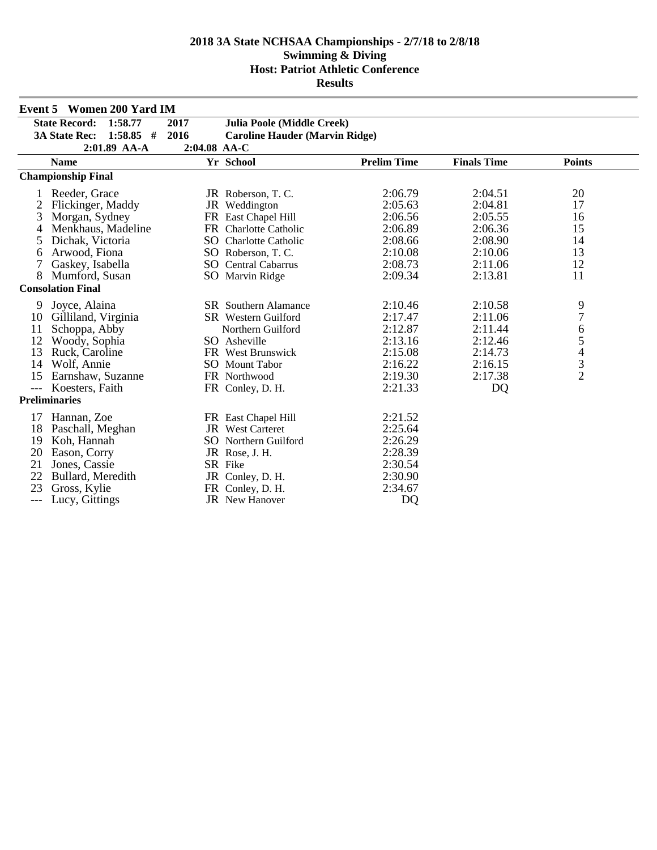|                     | <b>Event 5 Women 200 Yard IM</b>    |              |                                       |                    |                    |                |
|---------------------|-------------------------------------|--------------|---------------------------------------|--------------------|--------------------|----------------|
|                     | 1:58.77<br><b>State Record:</b>     | 2017         | <b>Julia Poole (Middle Creek)</b>     |                    |                    |                |
|                     | $1:58.85$ #<br><b>3A State Rec:</b> | 2016         | <b>Caroline Hauder (Marvin Ridge)</b> |                    |                    |                |
|                     | 2:01.89 AA-A                        | 2:04.08 AA-C |                                       |                    |                    |                |
|                     | <b>Name</b>                         |              | Yr School                             | <b>Prelim Time</b> | <b>Finals Time</b> | <b>Points</b>  |
|                     | <b>Championship Final</b>           |              |                                       |                    |                    |                |
|                     | Reeder, Grace                       |              | JR Roberson, T.C.                     | 2:06.79            | 2:04.51            | 20             |
| 2                   | Flickinger, Maddy                   |              | JR Weddington                         | 2:05.63            | 2:04.81            | 17             |
| 3                   | Morgan, Sydney                      |              | FR East Chapel Hill                   | 2:06.56            | 2:05.55            | 16             |
|                     | Menkhaus, Madeline                  |              | FR Charlotte Catholic                 | 2:06.89            | 2:06.36            | 15             |
| 5                   | Dichak, Victoria                    |              | SO Charlotte Catholic                 | 2:08.66            | 2:08.90            | 14             |
| 6                   | Arwood, Fiona                       |              | SO Roberson, T. C.                    | 2:10.08            | 2:10.06            | 13             |
| 7                   | Gaskey, Isabella                    |              | <b>SO</b> Central Cabarrus            | 2:08.73            | 2:11.06            | 12             |
| 8                   | Mumford, Susan                      |              | SO Marvin Ridge                       | 2:09.34            | 2:13.81            | 11             |
|                     | <b>Consolation Final</b>            |              |                                       |                    |                    |                |
| 9                   | Joyce, Alaina                       |              | SR Southern Alamance                  | 2:10.46            | 2:10.58            |                |
| 10                  | Gilliland, Virginia                 |              | SR Western Guilford                   | 2:17.47            | 2:11.06            | 9<br>7         |
| 11                  | Schoppa, Abby                       |              | Northern Guilford                     | 2:12.87            | 2:11.44            | 6              |
| 12                  | Woody, Sophia                       |              | SO Asheville                          | 2:13.16            | 2:12.46            | 5              |
| 13                  | Ruck, Caroline                      |              | FR West Brunswick                     | 2:15.08            | 2:14.73            | $\overline{4}$ |
| 14                  | Wolf, Annie                         |              | <b>SO</b> Mount Tabor                 | 2:16.22            | 2:16.15            | $\frac{3}{2}$  |
| 15                  | Earnshaw, Suzanne                   |              | FR Northwood                          | 2:19.30            | 2:17.38            |                |
| $\qquad \qquad - -$ | Koesters, Faith                     |              | FR Conley, D. H.                      | 2:21.33            | DQ                 |                |
|                     | <b>Preliminaries</b>                |              |                                       |                    |                    |                |
| 17                  | Hannan, Zoe                         |              | FR East Chapel Hill                   | 2:21.52            |                    |                |
| 18                  | Paschall, Meghan                    |              | JR West Carteret                      | 2:25.64            |                    |                |
| 19                  | Koh, Hannah                         |              | <b>SO</b> Northern Guilford           | 2:26.29            |                    |                |
| 20                  | Eason, Corry                        |              | JR Rose, J.H.                         | 2:28.39            |                    |                |
| 21                  | Jones, Cassie                       |              | SR Fike                               | 2:30.54            |                    |                |
| 22                  | Bullard, Meredith                   |              | JR Conley, D. H.                      | 2:30.90            |                    |                |
| 23                  | Gross, Kylie                        |              | FR Conley, D. H.                      | 2:34.67            |                    |                |
| $---$               | Lucy, Gittings                      |              | <b>JR</b> New Hanover                 | DQ                 |                    |                |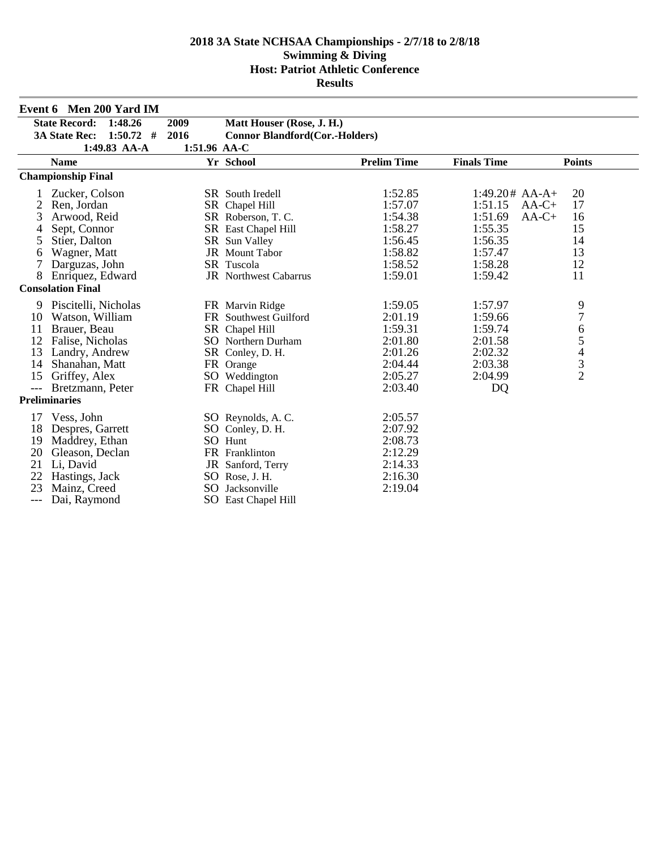|                  | Event 6 Men 200 Yard IM             |              |                                       |                    |                    |                |
|------------------|-------------------------------------|--------------|---------------------------------------|--------------------|--------------------|----------------|
|                  | State Record: 1:48.26               | 2009         | Matt Houser (Rose, J. H.)             |                    |                    |                |
|                  | <b>3A State Rec:</b><br>$1:50.72$ # | 2016         | <b>Connor Blandford(Cor.-Holders)</b> |                    |                    |                |
|                  | 1:49.83 AA-A                        | 1:51.96 AA-C |                                       |                    |                    |                |
|                  | <b>Name</b>                         |              | Yr School                             | <b>Prelim Time</b> | <b>Finals Time</b> | <b>Points</b>  |
|                  | <b>Championship Final</b>           |              |                                       |                    |                    |                |
|                  | Zucker, Colson                      |              | SR South Iredell                      | 1:52.85            | $1:49.20# AA-A+$   | 20             |
|                  | Ren, Jordan                         |              | SR Chapel Hill                        | 1:57.07            | 1:51.15            | 17<br>$AA-C+$  |
| 3                | Arwood, Reid                        |              | SR Roberson, T.C.                     | 1:54.38            | 1:51.69            | 16<br>$AA-C+$  |
| 4                | Sept, Connor                        |              | SR East Chapel Hill                   | 1:58.27            | 1:55.35            | 15             |
| 5                | Stier, Dalton                       |              | SR Sun Valley                         | 1:56.45            | 1:56.35            | 14             |
| 6                | Wagner, Matt                        |              | <b>JR</b> Mount Tabor                 | 1:58.82            | 1:57.47            | 13             |
| $\boldsymbol{7}$ | Darguzas, John                      |              | SR Tuscola                            | 1:58.52            | 1:58.28            | 12             |
| 8                | Enriquez, Edward                    |              | <b>JR</b> Northwest Cabarrus          | 1:59.01            | 1:59.42            | 11             |
|                  | <b>Consolation Final</b>            |              |                                       |                    |                    |                |
| 9                | Piscitelli, Nicholas                |              | FR Marvin Ridge                       | 1:59.05            | 1:57.97            | 9              |
| 10               | Watson, William                     |              | FR Southwest Guilford                 | 2:01.19            | 1:59.66            | $\overline{7}$ |
| 11               | Brauer, Beau                        |              | SR Chapel Hill                        | 1:59.31            | 1:59.74            | 6              |
| 12               | Falise, Nicholas                    |              | SO Northern Durham                    | 2:01.80            | 2:01.58            | 5              |
| 13               | Landry, Andrew                      |              | SR Conley, D. H.                      | 2:01.26            | 2:02.32            | $\overline{4}$ |
| 14               | Shanahan, Matt                      |              | FR Orange                             | 2:04.44            | 2:03.38            | $\frac{3}{2}$  |
| 15               | Griffey, Alex                       |              | SO Weddington                         | 2:05.27            | 2:04.99            |                |
| $---$            | Bretzmann, Peter                    |              | FR Chapel Hill                        | 2:03.40            | DQ                 |                |
|                  | <b>Preliminaries</b>                |              |                                       |                    |                    |                |
| 17               | Vess, John                          |              | SO Reynolds, A.C.                     | 2:05.57            |                    |                |
| 18               | Despres, Garrett                    |              | SO Conley, D. H.                      | 2:07.92            |                    |                |
| 19               | Maddrey, Ethan                      |              | SO Hunt                               | 2:08.73            |                    |                |
| 20               | Gleason, Declan                     |              | FR Franklinton                        | 2:12.29            |                    |                |
| 21               | Li, David                           |              | JR Sanford, Terry                     | 2:14.33            |                    |                |
| 22               | Hastings, Jack                      |              | SO Rose, J. H.                        | 2:16.30            |                    |                |
| 23               | Mainz, Creed                        |              | SO Jacksonville                       | 2:19.04            |                    |                |
| ---              | Dai, Raymond                        |              | SO East Chapel Hill                   |                    |                    |                |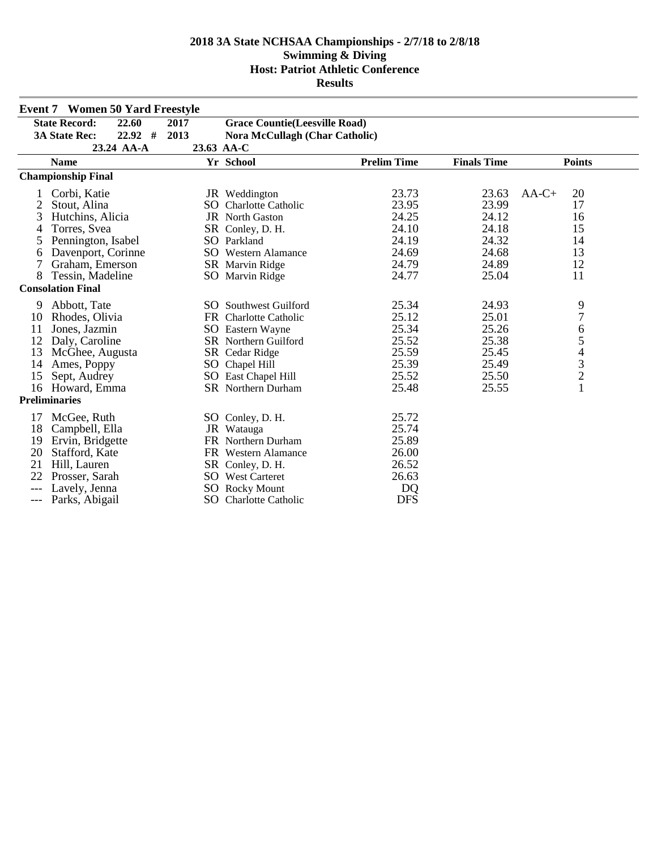|       | <b>Event 7 Women 50 Yard Freestyle</b> |      |                                       |                    |                    |                                            |  |
|-------|----------------------------------------|------|---------------------------------------|--------------------|--------------------|--------------------------------------------|--|
|       | <b>State Record:</b><br>22.60          | 2017 | <b>Grace Countie</b> (Leesville Road) |                    |                    |                                            |  |
|       | $22.92$ #<br><b>3A State Rec:</b>      | 2013 | <b>Nora McCullagh (Char Catholic)</b> |                    |                    |                                            |  |
|       | 23.24 AA-A                             |      | 23.63 AA-C                            |                    |                    |                                            |  |
|       | <b>Name</b>                            |      | Yr School                             | <b>Prelim Time</b> | <b>Finals Time</b> | <b>Points</b>                              |  |
|       | <b>Championship Final</b>              |      |                                       |                    |                    |                                            |  |
|       | Corbi, Katie                           |      | JR Weddington                         | 23.73              | 23.63              | $AA-C+$<br>20                              |  |
| 2     | Stout, Alina                           | SO   | Charlotte Catholic                    | 23.95              | 23.99              | 17                                         |  |
| 3     | Hutchins, Alicia                       |      | <b>JR</b> North Gaston                | 24.25              | 24.12              | 16                                         |  |
| 4     | Torres, Svea                           |      | SR Conley, D. H.                      | 24.10              | 24.18              | 15                                         |  |
| 5     | Pennington, Isabel                     |      | SO Parkland                           | 24.19              | 24.32              | 14                                         |  |
| 6     | Davenport, Corinne                     |      | <b>SO</b> Western Alamance            | 24.69              | 24.68              | 13                                         |  |
| 7     | Graham, Emerson                        |      | SR Marvin Ridge                       | 24.79              | 24.89              | 12                                         |  |
| 8     | Tessin, Madeline                       |      | SO Marvin Ridge                       | 24.77              | 25.04              | 11                                         |  |
|       | <b>Consolation Final</b>               |      |                                       |                    |                    |                                            |  |
| 9     | Abbott, Tate                           |      | <b>SO</b> Southwest Guilford          | 25.34              | 24.93              | 9                                          |  |
| 10    | Rhodes, Olivia                         |      | FR Charlotte Catholic                 | 25.12              | 25.01              | $\overline{7}$                             |  |
| 11    | Jones, Jazmin                          |      | <b>SO</b> Eastern Wayne               | 25.34              | 25.26              | 6                                          |  |
| 12    | Daly, Caroline                         |      | <b>SR</b> Northern Guilford           | 25.52              | 25.38              | 5                                          |  |
| 13    | McGhee, Augusta                        |      | SR Cedar Ridge                        | 25.59              | 25.45              |                                            |  |
| 14    | Ames, Poppy                            |      | SO Chapel Hill                        | 25.39              | 25.49              | $\begin{array}{c} 4 \\ 3 \\ 2 \end{array}$ |  |
| 15    | Sept, Audrey                           |      | SO East Chapel Hill                   | 25.52              | 25.50              |                                            |  |
|       | 16 Howard, Emma                        |      | <b>SR</b> Northern Durham             | 25.48              | 25.55              | $\mathbf{1}$                               |  |
|       | <b>Preliminaries</b>                   |      |                                       |                    |                    |                                            |  |
| 17    | McGee, Ruth                            |      | SO Conley, D. H.                      | 25.72              |                    |                                            |  |
| 18    | Campbell, Ella                         |      | JR Watauga                            | 25.74              |                    |                                            |  |
| 19    | Ervin, Bridgette                       |      | FR Northern Durham                    | 25.89              |                    |                                            |  |
| 20    | Stafford, Kate                         |      | FR Western Alamance                   | 26.00              |                    |                                            |  |
| 21    | Hill, Lauren                           |      | SR Conley, D. H.                      | 26.52              |                    |                                            |  |
| 22    | Prosser, Sarah                         |      | <b>SO</b> West Carteret               | 26.63              |                    |                                            |  |
| $---$ | Lavely, Jenna                          | SO   | <b>Rocky Mount</b>                    | DQ                 |                    |                                            |  |
| $---$ | Parks, Abigail                         | SO.  | <b>Charlotte Catholic</b>             | <b>DFS</b>         |                    |                                            |  |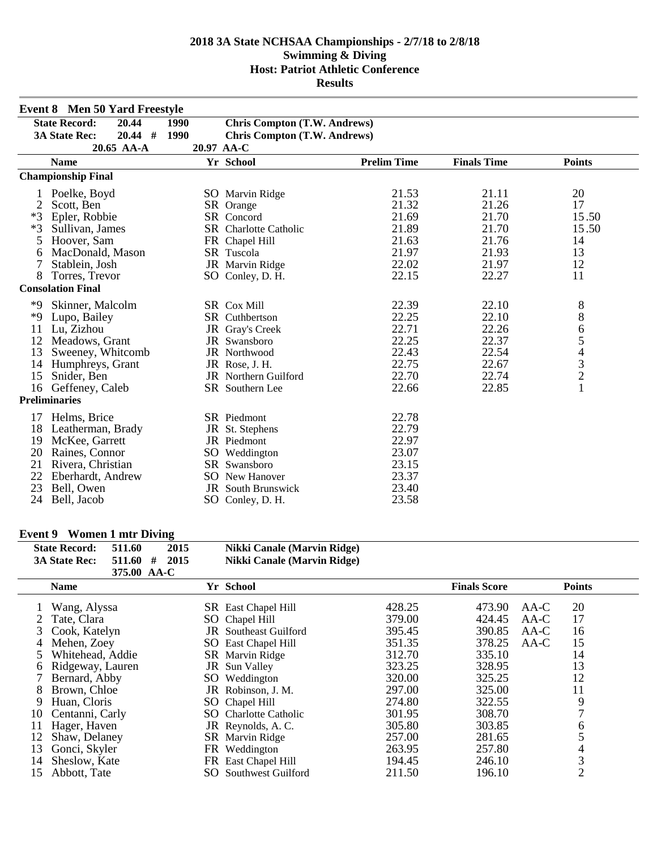|      | <b>Event 8 Men 50 Yard Freestyle</b> |      |                                     |                    |                    |                                            |
|------|--------------------------------------|------|-------------------------------------|--------------------|--------------------|--------------------------------------------|
|      | <b>State Record:</b><br>20.44        | 1990 | <b>Chris Compton (T.W. Andrews)</b> |                    |                    |                                            |
|      | $20.44$ #<br><b>3A State Rec:</b>    | 1990 | <b>Chris Compton (T.W. Andrews)</b> |                    |                    |                                            |
|      | 20.65 AA-A                           |      | 20.97 AA-C                          |                    |                    |                                            |
|      | <b>Name</b>                          |      | Yr School                           | <b>Prelim Time</b> | <b>Finals Time</b> | <b>Points</b>                              |
|      | <b>Championship Final</b>            |      |                                     |                    |                    |                                            |
|      | Poelke, Boyd                         |      | SO Marvin Ridge                     | 21.53              | 21.11              | 20                                         |
| 2    | Scott, Ben                           |      | SR Orange                           | 21.32              | 21.26              | 17                                         |
| $*3$ | Epler, Robbie                        |      | SR Concord                          | 21.69              | 21.70              | 15.50                                      |
| $*3$ | Sullivan, James                      |      | SR Charlotte Catholic               | 21.89              | 21.70              | 15.50                                      |
| 5    | Hoover, Sam                          |      | FR Chapel Hill                      | 21.63              | 21.76              | 14                                         |
| 6    | MacDonald, Mason                     |      | SR Tuscola                          | 21.97              | 21.93              | 13                                         |
| 7    | Stablein, Josh                       |      | JR Marvin Ridge                     | 22.02              | 21.97              | 12                                         |
| 8    | Torres, Trevor                       |      | SO Conley, D. H.                    | 22.15              | 22.27              | 11                                         |
|      | <b>Consolation Final</b>             |      |                                     |                    |                    |                                            |
| *9   | Skinner, Malcolm                     |      | SR Cox Mill                         | 22.39              | 22.10              | 8                                          |
| *9   | Lupo, Bailey                         |      | SR Cuthbertson                      | 22.25              | 22.10              | $8\,$                                      |
| 11   | Lu, Zizhou                           |      | JR Gray's Creek                     | 22.71              | 22.26              | 6                                          |
| 12   | Meadows, Grant                       |      | JR Swansboro                        | 22.25              | 22.37              | 5                                          |
| 13   | Sweeney, Whitcomb                    |      | JR Northwood                        | 22.43              | 22.54              |                                            |
| 14   | Humphreys, Grant                     |      | JR Rose, J. H.                      | 22.75              | 22.67              | $\begin{array}{c} 4 \\ 3 \\ 2 \end{array}$ |
| 15   | Snider, Ben                          |      | JR Northern Guilford                | 22.70              | 22.74              |                                            |
| 16   | Geffeney, Caleb                      |      | SR Southern Lee                     | 22.66              | 22.85              | $\mathbf{1}$                               |
|      | <b>Preliminaries</b>                 |      |                                     |                    |                    |                                            |
| 17   | Helms, Brice                         |      | SR Piedmont                         | 22.78              |                    |                                            |
| 18   | Leatherman, Brady                    |      | JR St. Stephens                     | 22.79              |                    |                                            |
| 19   | McKee, Garrett                       |      | JR Piedmont                         | 22.97              |                    |                                            |
| 20   | Raines, Connor                       |      | SO Weddington                       | 23.07              |                    |                                            |
| 21   | Rivera, Christian                    |      | SR Swansboro                        | 23.15              |                    |                                            |
| 22   | Eberhardt, Andrew                    |      | <b>SO</b> New Hanover               | 23.37              |                    |                                            |
| 23   | Bell, Owen                           |      | <b>JR</b> South Brunswick           | 23.40              |                    |                                            |
| 24   | Bell, Jacob                          |      | SO Conley, D. H.                    | 23.58              |                    |                                            |

# **Event 9 Women 1 mtr Diving**

| <b>State Record:</b> | 511.60      | 2015 | Nikki Canale (Marvin Ridge) |
|----------------------|-------------|------|-----------------------------|
| <b>3A State Rec:</b> | 511.60#     | 2015 | Nikki Canale (Marvin Ridge) |
|                      | 375.00 AA-C |      |                             |

|    | <b>Name</b>      |     | Yr School                  |        | <b>Finals Score</b> |        | <b>Points</b>  |
|----|------------------|-----|----------------------------|--------|---------------------|--------|----------------|
|    | Wang, Alyssa     |     | <b>SR</b> East Chapel Hill | 428.25 | 473.90              | $AA-C$ | 20             |
|    | Tate, Clara      |     | SO Chapel Hill             | 379.00 | 424.45              | $AA-C$ | 17             |
|    | Cook, Katelyn    |     | JR Southeast Guilford      | 395.45 | 390.85              | AA-C   | 16             |
| 4  | Mehen, Zoey      |     | SO East Chapel Hill        | 351.35 | 378.25              | AA-C   | 15             |
|    | Whitehead, Addie |     | SR Marvin Ridge            | 312.70 | 335.10              |        | 14             |
| 6  | Ridgeway, Lauren |     | <b>JR</b> Sun Valley       | 323.25 | 328.95              |        | 13             |
|    | Bernard, Abby    |     | SO Weddington              | 320.00 | 325.25              |        | 12             |
| 8  | Brown, Chloe     |     | JR Robinson, J. M.         | 297.00 | 325.00              |        | 11             |
| 9  | Huan, Cloris     |     | SO Chapel Hill             | 274.80 | 322.55              |        | 9              |
| 10 | Centanni, Carly  |     | SO Charlotte Catholic      | 301.95 | 308.70              |        | $\mathcal{I}$  |
| 11 | Hager, Haven     |     | JR Reynolds, A.C.          | 305.80 | 303.85              |        | 6              |
| 12 | Shaw, Delaney    |     | SR Marvin Ridge            | 257.00 | 281.65              |        |                |
| 13 | Gonci, Skyler    |     | FR Weddington              | 263.95 | 257.80              |        |                |
| 14 | Sheslow, Kate    |     | FR East Chapel Hill        | 194.45 | 246.10              |        | 3              |
| 15 | Abbott, Tate     | SO. | <b>Southwest Guilford</b>  | 211.50 | 196.10              |        | $\overline{2}$ |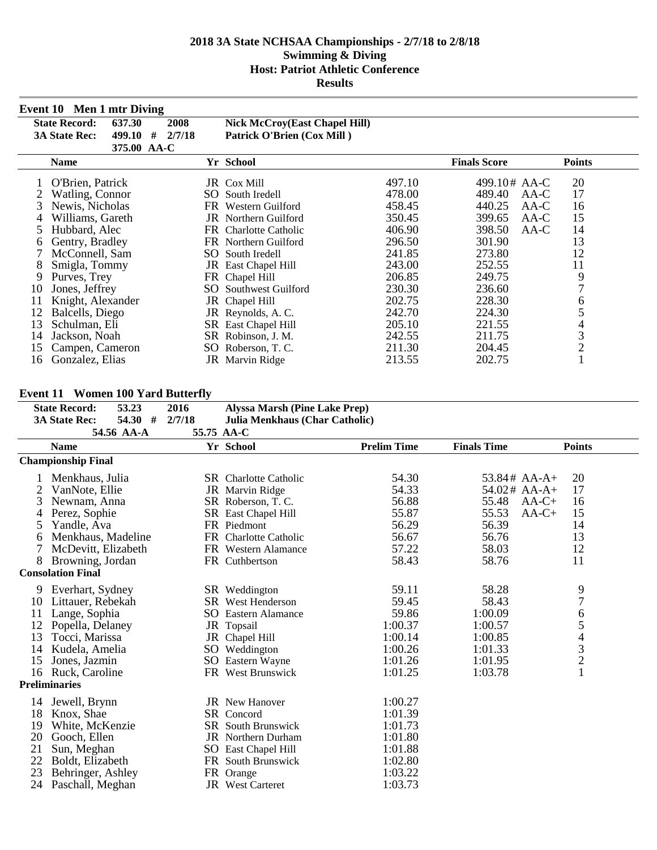|    | Event 10 Men 1 mtr Diving      |             |                                      |        |                     |                |
|----|--------------------------------|-------------|--------------------------------------|--------|---------------------|----------------|
|    | <b>State Record:</b><br>637.30 | 2008        | <b>Nick McCroy(East Chapel Hill)</b> |        |                     |                |
|    | <b>3A State Rec:</b><br>499.10 | 2/7/18<br># | Patrick O'Brien (Cox Mill)           |        |                     |                |
|    |                                | 375.00 AA-C |                                      |        |                     |                |
|    | <b>Name</b>                    |             | Yr School                            |        | <b>Finals Score</b> | <b>Points</b>  |
|    | O'Brien, Patrick               |             | JR Cox Mill                          | 497.10 | 499.10# AA-C        | 20             |
|    | Watling, Connor                |             | SO South Iredell                     | 478.00 | 489.40<br>AA-C      | 17             |
| 3  | Newis, Nicholas                | FR          | Western Guilford                     | 458.45 | 440.25<br>AA-C      | 16             |
|    | Williams, Gareth               |             | <b>JR</b> Northern Guilford          | 350.45 | 399.65<br>AA-C      | 15             |
| 5  | Hubbard, Alec                  |             | FR Charlotte Catholic                | 406.90 | 398.50<br>AA-C      | 14             |
| 6  | Gentry, Bradley                |             | FR Northern Guilford                 | 296.50 | 301.90              | 13             |
|    | McConnell, Sam                 |             | SO South Iredell                     | 241.85 | 273.80              | 12             |
| 8  | Smigla, Tommy                  |             | JR East Chapel Hill                  | 243.00 | 252.55              | 11             |
| 9  | Purves, Trey                   |             | FR Chapel Hill                       | 206.85 | 249.75              | 9              |
| 10 | Jones, Jeffrey                 |             | <b>SO</b> Southwest Guilford         | 230.30 | 236.60              | 7              |
| 11 | Knight, Alexander              |             | JR Chapel Hill                       | 202.75 | 228.30              | 6              |
| 12 | Balcells, Diego                |             | JR Reynolds, A.C.                    | 242.70 | 224.30              | 5              |
| 13 | Schulman, Eli                  |             | SR East Chapel Hill                  | 205.10 | 221.55              | 4              |
| 14 | Jackson, Noah                  |             | SR Robinson, J. M.                   | 242.55 | 211.75              | 3              |
| 15 | Campen, Cameron                |             | SO Roberson, T.C.                    | 211.30 | 204.45              | $\overline{2}$ |
| 16 | Gonzalez, Elias                |             | <b>JR</b> Marvin Ridge               | 213.55 | 202.75              |                |

### **Event 11 Women 100 Yard Butterfly**

| еуспе 11 | WORKH TOO TATU DUUCIII)            |            |                                      |                    |                    |                                                 |
|----------|------------------------------------|------------|--------------------------------------|--------------------|--------------------|-------------------------------------------------|
|          | 53.23<br><b>State Record:</b>      | 2016       | <b>Alyssa Marsh (Pine Lake Prep)</b> |                    |                    |                                                 |
|          | 54.30<br>#<br><b>3A State Rec:</b> | 2/7/18     | Julia Menkhaus (Char Catholic)       |                    |                    |                                                 |
|          | 54.56 AA-A                         | 55.75 AA-C |                                      |                    |                    |                                                 |
|          | <b>Name</b>                        |            | Yr School                            | <b>Prelim Time</b> | <b>Finals Time</b> | <b>Points</b>                                   |
|          | <b>Championship Final</b>          |            |                                      |                    |                    |                                                 |
|          | Menkhaus, Julia                    |            | <b>SR</b> Charlotte Catholic         | 54.30              | $53.84#$ AA-A+     | 20                                              |
|          | VanNote, Ellie                     |            | JR Marvin Ridge                      | 54.33              | 54.02# AA-A+       | 17                                              |
| 3        | Newnam, Anna                       |            | SR Roberson, T.C.                    | 56.88              | 55.48              | $AA-C+$<br>16                                   |
| 4        | Perez, Sophie                      |            | SR East Chapel Hill                  | 55.87              | 55.53              | 15<br>$AA-C+$                                   |
| 5        | Yandle, Ava                        |            | FR Piedmont                          | 56.29              | 56.39              | 14                                              |
| 6        | Menkhaus, Madeline                 |            | FR Charlotte Catholic                | 56.67              | 56.76              | 13                                              |
|          | McDevitt, Elizabeth                |            | FR Western Alamance                  | 57.22              | 58.03              | 12                                              |
| 8        | Browning, Jordan                   |            | FR Cuthbertson                       | 58.43              | 58.76              | 11                                              |
|          | <b>Consolation Final</b>           |            |                                      |                    |                    |                                                 |
| 9        | Everhart, Sydney                   |            | SR Weddington                        | 59.11              | 58.28              | 9                                               |
| 10       | Littauer, Rebekah                  |            | <b>SR</b> West Henderson             | 59.45              | 58.43              | $\overline{7}$                                  |
| 11       | Lange, Sophia                      |            | <b>SO</b> Eastern Alamance           | 59.86              | 1:00.09            | 6                                               |
| 12       | Popella, Delaney                   |            | JR Topsail                           | 1:00.37            | 1:00.57            |                                                 |
| 13       | Tocci, Marissa                     |            | JR Chapel Hill                       | 1:00.14            | 1:00.85            | $\begin{array}{c} 5 \\ 4 \\ 3 \\ 2 \end{array}$ |
| 14       | Kudela, Amelia                     |            | SO Weddington                        | 1:00.26            | 1:01.33            |                                                 |
| 15       | Jones, Jazmin                      |            | SO Eastern Wayne                     | 1:01.26            | 1:01.95            |                                                 |
| 16       | Ruck, Caroline                     |            | FR West Brunswick                    | 1:01.25            | 1:03.78            | $\mathbf{1}$                                    |
|          | <b>Preliminaries</b>               |            |                                      |                    |                    |                                                 |
| 14       | Jewell, Brynn                      |            | <b>JR</b> New Hanover                | 1:00.27            |                    |                                                 |
| 18       | Knox, Shae                         |            | SR Concord                           | 1:01.39            |                    |                                                 |
| 19       | White, McKenzie                    |            | <b>SR</b> South Brunswick            | 1:01.73            |                    |                                                 |
| 20       | Gooch, Ellen                       |            | <b>JR</b> Northern Durham            | 1:01.80            |                    |                                                 |
| 21       | Sun, Meghan                        |            | SO East Chapel Hill                  | 1:01.88            |                    |                                                 |
| 22       | Boldt, Elizabeth                   |            | FR South Brunswick                   | 1:02.80            |                    |                                                 |
| 23       | Behringer, Ashley                  |            | FR Orange                            | 1:03.22            |                    |                                                 |
| 24       | Paschall, Meghan                   |            | JR West Carteret                     | 1:03.73            |                    |                                                 |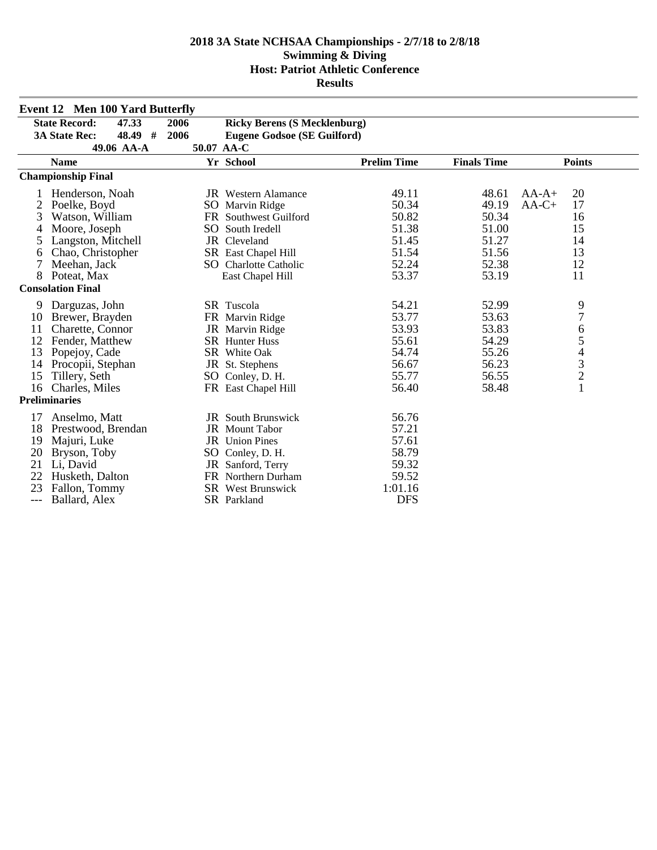|     | <b>Event 12 Men 100 Yard Butterfly</b> |      |                                     |                    |                    |                                            |
|-----|----------------------------------------|------|-------------------------------------|--------------------|--------------------|--------------------------------------------|
|     | <b>State Record:</b><br>47.33          | 2006 | <b>Ricky Berens (S Mecklenburg)</b> |                    |                    |                                            |
|     | <b>3A State Rec:</b><br>48.49<br>#     | 2006 | <b>Eugene Godsoe (SE Guilford)</b>  |                    |                    |                                            |
|     | 49.06 AA-A                             |      | 50.07 AA-C                          |                    |                    |                                            |
|     | <b>Name</b>                            |      | Yr School                           | <b>Prelim Time</b> | <b>Finals Time</b> | <b>Points</b>                              |
|     | <b>Championship Final</b>              |      |                                     |                    |                    |                                            |
|     | Henderson, Noah                        |      | <b>JR</b> Western Alamance          | 49.11              | 48.61              | 20<br>$AA-A+$                              |
| 2   | Poelke, Boyd                           |      | SO Marvin Ridge                     | 50.34              | 49.19              | 17<br>$AA-C+$                              |
| 3   | Watson, William                        |      | FR Southwest Guilford               | 50.82              | 50.34              | 16                                         |
| 4   | Moore, Joseph                          |      | SO South Iredell                    | 51.38              | 51.00              | 15                                         |
| 5   | Langston, Mitchell                     |      | JR Cleveland                        | 51.45              | 51.27              | 14                                         |
| 6   | Chao, Christopher                      |      | SR East Chapel Hill                 | 51.54              | 51.56              | 13                                         |
| 7   | Meehan, Jack                           |      | <b>SO</b> Charlotte Catholic        | 52.24              | 52.38              | 12                                         |
| 8   | Poteat, Max                            |      | East Chapel Hill                    | 53.37              | 53.19              | 11                                         |
|     | <b>Consolation Final</b>               |      |                                     |                    |                    |                                            |
| 9   | Darguzas, John                         |      | SR Tuscola                          | 54.21              | 52.99              | 9                                          |
| 10  | Brewer, Brayden                        |      | FR Marvin Ridge                     | 53.77              | 53.63              | 7                                          |
| 11  | Charette, Connor                       |      | JR Marvin Ridge                     | 53.93              | 53.83              | 6                                          |
| 12  | Fender, Matthew                        |      | <b>SR</b> Hunter Huss               | 55.61              | 54.29              | 5                                          |
| 13  | Popejoy, Cade                          |      | SR White Oak                        | 54.74              | 55.26              | $\begin{array}{c} 4 \\ 3 \\ 2 \end{array}$ |
| 14  | Procopii, Stephan                      |      | JR St. Stephens                     | 56.67              | 56.23              |                                            |
| 15  | Tillery, Seth                          |      | SO Conley, D. H.                    | 55.77              | 56.55              |                                            |
| 16  | Charles, Miles                         |      | FR East Chapel Hill                 | 56.40              | 58.48              | $\mathbf{1}$                               |
|     | <b>Preliminaries</b>                   |      |                                     |                    |                    |                                            |
| 17  | Anselmo, Matt                          |      | <b>JR</b> South Brunswick           | 56.76              |                    |                                            |
| 18  | Prestwood, Brendan                     |      | JR Mount Tabor                      | 57.21              |                    |                                            |
| 19  | Majuri, Luke                           |      | JR Union Pines                      | 57.61              |                    |                                            |
| 20  | Bryson, Toby                           |      | SO Conley, D. H.                    | 58.79              |                    |                                            |
| 21  | Li, David                              |      | JR Sanford, Terry                   | 59.32              |                    |                                            |
| 22  | Husketh, Dalton                        |      | FR Northern Durham                  | 59.52              |                    |                                            |
| 23  | Fallon, Tommy                          |      | SR West Brunswick                   | 1:01.16            |                    |                                            |
| --- | Ballard, Alex                          |      | SR Parkland                         | <b>DFS</b>         |                    |                                            |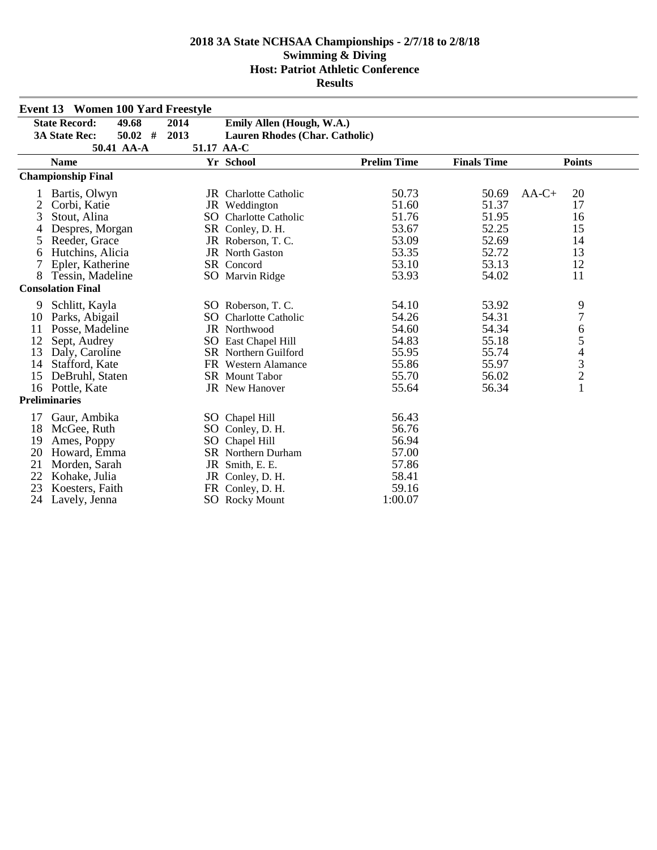|    | <b>Event 13 Women 100 Yard Freestyle</b> |            |                                       |                    |                    |                                            |
|----|------------------------------------------|------------|---------------------------------------|--------------------|--------------------|--------------------------------------------|
|    | <b>State Record:</b><br>49.68            | 2014       | Emily Allen (Hough, W.A.)             |                    |                    |                                            |
|    | <b>3A State Rec:</b><br>$50.02$ #        | 2013       | <b>Lauren Rhodes (Char. Catholic)</b> |                    |                    |                                            |
|    | 50.41 AA-A                               | 51.17 AA-C |                                       |                    |                    |                                            |
|    | <b>Name</b>                              |            | Yr School                             | <b>Prelim Time</b> | <b>Finals Time</b> | <b>Points</b>                              |
|    | <b>Championship Final</b>                |            |                                       |                    |                    |                                            |
|    | Bartis, Olwyn                            |            | <b>JR</b> Charlotte Catholic          | 50.73              | 50.69              | $AA-C+$<br>20                              |
| 2  | Corbi, Katie                             |            | JR Weddington                         | 51.60              | 51.37              | 17                                         |
| 3  | Stout, Alina                             |            | SO Charlotte Catholic                 | 51.76              | 51.95              | 16                                         |
| 4  | Despres, Morgan                          |            | SR Conley, D. H.                      | 53.67              | 52.25              | 15                                         |
| 5  | Reeder, Grace                            |            | JR Roberson, T.C.                     | 53.09              | 52.69              | 14                                         |
| 6  | Hutchins, Alicia                         |            | <b>JR</b> North Gaston                | 53.35              | 52.72              | 13                                         |
| 7  | Epler, Katherine                         |            | SR Concord                            | 53.10              | 53.13              | 12                                         |
| 8  | Tessin, Madeline                         |            | SO Marvin Ridge                       | 53.93              | 54.02              | 11                                         |
|    | <b>Consolation Final</b>                 |            |                                       |                    |                    |                                            |
| 9  | Schlitt, Kayla                           |            | SO Roberson, T. C.                    | 54.10              | 53.92              | 9                                          |
| 10 | Parks, Abigail                           | SO         | <b>Charlotte Catholic</b>             | 54.26              | 54.31              | $\overline{7}$                             |
| 11 | Posse, Madeline                          |            | JR Northwood                          | 54.60              | 54.34              | 6                                          |
| 12 | Sept, Audrey                             |            | SO East Chapel Hill                   | 54.83              | 55.18              | 5                                          |
| 13 | Daly, Caroline                           |            | <b>SR</b> Northern Guilford           | 55.95              | 55.74              | 4                                          |
| 14 | Stafford, Kate                           |            | FR Western Alamance                   | 55.86              | 55.97              |                                            |
| 15 | DeBruhl, Staten                          |            | <b>SR</b> Mount Tabor                 | 55.70              | 56.02              | $\begin{array}{c} 3 \\ 2 \\ 1 \end{array}$ |
| 16 | Pottle, Kate                             |            | <b>JR</b> New Hanover                 | 55.64              | 56.34              |                                            |
|    | <b>Preliminaries</b>                     |            |                                       |                    |                    |                                            |
| 17 | Gaur, Ambika                             |            | SO Chapel Hill                        | 56.43              |                    |                                            |
| 18 | McGee, Ruth                              |            | SO Conley, D. H.                      | 56.76              |                    |                                            |
| 19 | Ames, Poppy                              | SO         | Chapel Hill                           | 56.94              |                    |                                            |
| 20 | Howard, Emma                             |            | <b>SR</b> Northern Durham             | 57.00              |                    |                                            |
| 21 | Morden, Sarah                            |            | JR Smith, E. E.                       | 57.86              |                    |                                            |
| 22 | Kohake, Julia                            |            | JR Conley, D. H.                      | 58.41              |                    |                                            |
| 23 | Koesters, Faith                          |            | FR Conley, D. H.                      | 59.16              |                    |                                            |
| 24 | Lavely, Jenna                            |            | <b>SO</b> Rocky Mount                 | 1:00.07            |                    |                                            |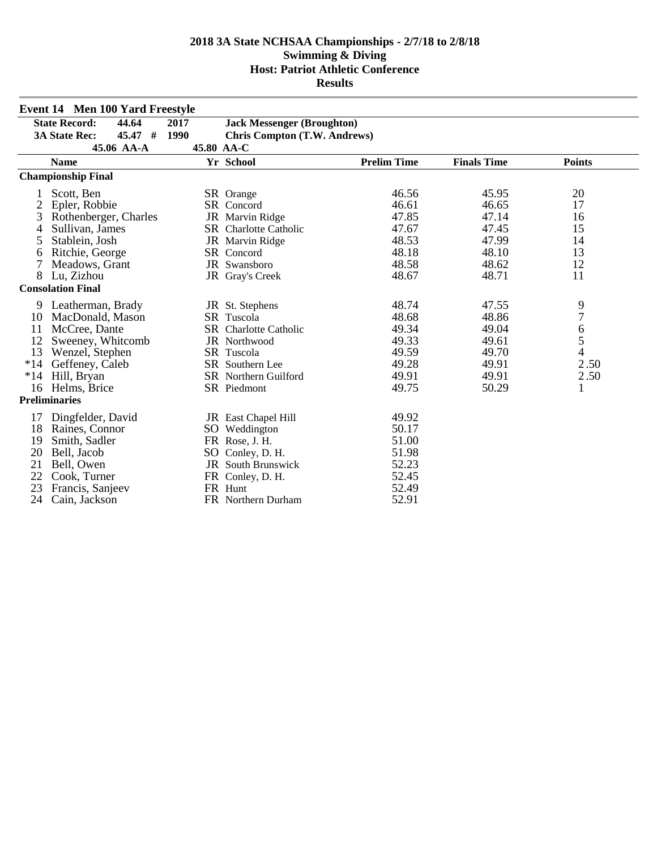|       | <b>Event 14 Men 100 Yard Freestyle</b> |            |                                     |                    |                    |                  |
|-------|----------------------------------------|------------|-------------------------------------|--------------------|--------------------|------------------|
|       | <b>State Record:</b><br>44.64          | 2017       | <b>Jack Messenger (Broughton)</b>   |                    |                    |                  |
|       | 45.47#<br><b>3A State Rec:</b>         | 1990       | <b>Chris Compton (T.W. Andrews)</b> |                    |                    |                  |
|       | 45.06 AA-A                             | 45.80 AA-C |                                     |                    |                    |                  |
|       | <b>Name</b>                            |            | Yr School                           | <b>Prelim Time</b> | <b>Finals Time</b> | <b>Points</b>    |
|       | <b>Championship Final</b>              |            |                                     |                    |                    |                  |
|       | Scott, Ben                             |            | SR Orange                           | 46.56              | 45.95              | 20               |
| 2     | Epler, Robbie                          |            | SR Concord                          | 46.61              | 46.65              | 17               |
| 3     | Rothenberger, Charles                  |            | JR Marvin Ridge                     | 47.85              | 47.14              | 16               |
| 4     | Sullivan, James                        |            | SR Charlotte Catholic               | 47.67              | 47.45              | 15               |
| 5     | Stablein, Josh                         |            | JR Marvin Ridge                     | 48.53              | 47.99              | 14               |
| 6     | Ritchie, George                        |            | SR Concord                          | 48.18              | 48.10              | 13               |
| 7     | Meadows, Grant                         |            | JR Swansboro                        | 48.58              | 48.62              | 12               |
| 8     | Lu, Zizhou                             |            | JR Gray's Creek                     | 48.67              | 48.71              | 11               |
|       | <b>Consolation Final</b>               |            |                                     |                    |                    |                  |
|       | 9 Leatherman, Brady                    |            | JR St. Stephens                     | 48.74              | 47.55              | 9                |
| 10    | MacDonald, Mason                       |            | SR Tuscola                          | 48.68              | 48.86              | $\boldsymbol{7}$ |
| 11    | McCree, Dante                          |            | SR Charlotte Catholic               | 49.34              | 49.04              | $\boldsymbol{6}$ |
| 12    | Sweeney, Whitcomb                      |            | JR Northwood                        | 49.33              | 49.61              | 5                |
| 13    | Wenzel, Stephen                        |            | SR Tuscola                          | 49.59              | 49.70              | $\overline{4}$   |
| $*14$ | Geffeney, Caleb                        |            | SR Southern Lee                     | 49.28              | 49.91              | 2.50             |
| *14   | Hill, Bryan                            |            | SR Northern Guilford                | 49.91              | 49.91              | 2.50             |
| 16    | Helms, Brice                           |            | SR Piedmont                         | 49.75              | 50.29              | 1                |
|       | <b>Preliminaries</b>                   |            |                                     |                    |                    |                  |
| 17    | Dingfelder, David                      |            | JR East Chapel Hill                 | 49.92              |                    |                  |
| 18    | Raines, Connor                         |            | SO Weddington                       | 50.17              |                    |                  |
| 19    | Smith, Sadler                          |            | FR Rose, J. H.                      | 51.00              |                    |                  |
| 20    | Bell, Jacob                            |            | SO Conley, D. H.                    | 51.98              |                    |                  |
| 21    | Bell, Owen                             |            | <b>JR</b> South Brunswick           | 52.23              |                    |                  |
| 22    | Cook, Turner                           |            | FR Conley, D. H.                    | 52.45              |                    |                  |
| 23    | Francis, Sanjeev                       |            | FR Hunt                             | 52.49              |                    |                  |
| 24    | Cain, Jackson                          |            | FR Northern Durham                  | 52.91              |                    |                  |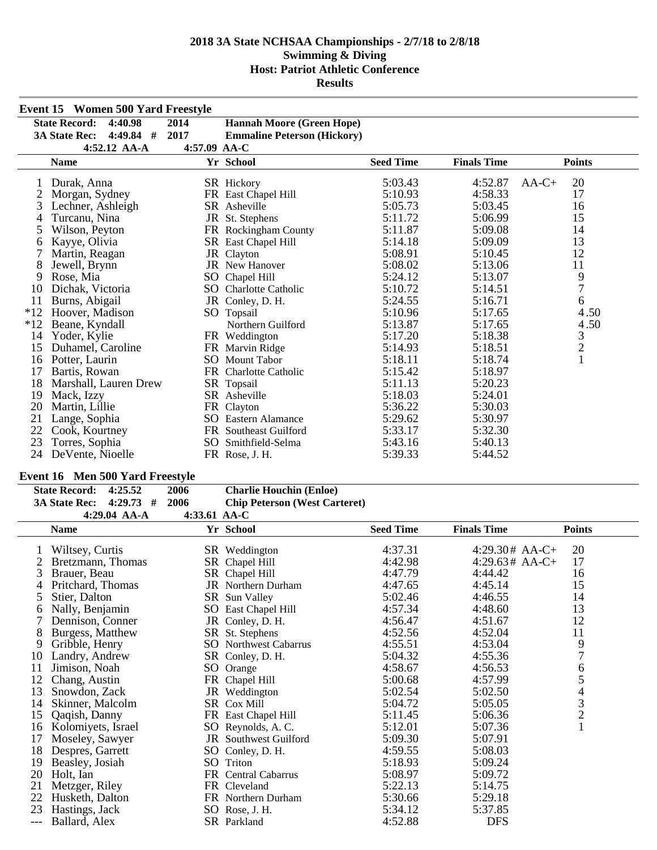|       | <b>Event 15 Women 500 Yard Freestyle</b> |              |                                    |                  |                    |                                            |
|-------|------------------------------------------|--------------|------------------------------------|------------------|--------------------|--------------------------------------------|
|       | <b>State Record:</b><br>4:40.98          | 2014         | <b>Hannah Moore (Green Hope)</b>   |                  |                    |                                            |
|       | $4:49.84$ #<br><b>3A State Rec:</b>      | 2017         | <b>Emmaline Peterson (Hickory)</b> |                  |                    |                                            |
|       | $4:52.12$ AA-A                           | 4:57.09 AA-C |                                    |                  |                    |                                            |
|       | <b>Name</b>                              |              | Yr School                          | <b>Seed Time</b> | <b>Finals Time</b> | <b>Points</b>                              |
|       | Durak, Anna                              |              | SR Hickory                         | 5:03.43          | 4:52.87            | 20<br>$AA-C+$                              |
|       | Morgan, Sydney                           |              | FR East Chapel Hill                | 5:10.93          | 4:58.33            | 17                                         |
| 3     | Lechner, Ashleigh                        |              | SR Asheville                       | 5:05.73          | 5:03.45            | 16                                         |
|       | Turcanu, Nina                            |              | JR St. Stephens                    | 5:11.72          | 5:06.99            | 15                                         |
|       | Wilson, Peyton                           |              | FR Rockingham County               | 5:11.87          | 5:09.08            | 14                                         |
| 6     | Kayye, Olivia                            |              | SR East Chapel Hill                | 5:14.18          | 5:09.09            | 13                                         |
| 7     | Martin, Reagan                           |              | JR Clayton                         | 5:08.91          | 5:10.45            | 12                                         |
| 8     | Jewell, Brynn                            |              | <b>JR</b> New Hanover              | 5:08.02          | 5:13.06            | 11                                         |
| 9     | Rose, Mia                                | SO.          | Chapel Hill                        | 5:24.12          | 5:13.07            | 9                                          |
| 10    | Dichak, Victoria                         | SO.          | <b>Charlotte Catholic</b>          | 5:10.72          | 5:14.51            | $\tau$                                     |
| 11    | Burns, Abigail                           |              | JR Conley, D. H.                   | 5:24.55          | 5:16.71            | 6                                          |
| $*12$ | Hoover, Madison                          |              | SO Topsail                         | 5:10.96          | 5:17.65            | 4.50                                       |
| $*12$ | Beane, Kyndall                           |              | Northern Guilford                  | 5:13.87          | 5:17.65            | 4.50                                       |
| 14    | Yoder, Kylie                             |              | FR Weddington                      | 5:17.20          | 5:18.38            |                                            |
| 15    | Duhamel, Caroline                        |              | FR Marvin Ridge                    | 5:14.93          | 5:18.51            | $\begin{array}{c} 3 \\ 2 \\ 1 \end{array}$ |
| 16    | Potter, Laurin                           |              | <b>SO</b> Mount Tabor              | 5:18.11          | 5:18.74            |                                            |
| 17    | Bartis, Rowan                            |              | FR Charlotte Catholic              | 5:15.42          | 5:18.97            |                                            |
| 18    | Marshall, Lauren Drew                    |              | SR Topsail                         | 5:11.13          | 5:20.23            |                                            |
| 19    | Mack, Izzy                               |              | SR Asheville                       | 5:18.03          | 5:24.01            |                                            |
| 20    | Martin, Lillie                           |              | FR Clayton                         | 5:36.22          | 5:30.03            |                                            |
| 21    | Lange, Sophia                            |              | <b>SO</b> Eastern Alamance         | 5:29.62          | 5:30.97            |                                            |
| 22    | Cook, Kourtney                           |              | FR Southeast Guilford              | 5:33.17          | 5:32.30            |                                            |
| 23    | Torres, Sophia                           |              | SO Smithfield-Selma                | 5:43.16          | 5:40.13            |                                            |
| 24    | DeVente, Nioelle                         |              | FR Rose, J. H.                     | 5:39.33          | 5:44.52            |                                            |

## **Event 16 Men 500 Yard Freestyle**

| State Record: 4:25.52        | 2006 | <b>Charlie Houchin (Enloe)</b>       |
|------------------------------|------|--------------------------------------|
| 3A State Rec: 4:29.73 # 2006 |      | <b>Chip Peterson (West Carteret)</b> |
|                              | .    |                                      |

|       | 4:29.04 AA-A       | 4:33.61 AA-C |                              |                  |                    |                                                 |
|-------|--------------------|--------------|------------------------------|------------------|--------------------|-------------------------------------------------|
|       | <b>Name</b>        |              | Yr School                    | <b>Seed Time</b> | <b>Finals Time</b> | <b>Points</b>                                   |
|       | Wiltsey, Curtis    |              | SR Weddington                | 4:37.31          | $4:29.30# AA-C+$   | 20                                              |
|       | Bretzmann, Thomas  |              | SR Chapel Hill               | 4:42.98          | $4:29.63#$ AA-C+   | 17                                              |
| 3     | Brauer, Beau       |              | SR Chapel Hill               | 4:47.79          | 4:44.42            | 16                                              |
| 4     | Pritchard, Thomas  |              | <b>JR</b> Northern Durham    | 4:47.65          | 4:45.14            | 15                                              |
| 5     | Stier, Dalton      |              | SR Sun Valley                | 5:02.46          | 4:46.55            | 14                                              |
| 6     | Nally, Benjamin    |              | SO East Chapel Hill          | 4:57.34          | 4:48.60            | 13                                              |
|       | Dennison, Conner   |              | JR Conley, D. H.             | 4:56.47          | 4:51.67            | 12                                              |
| 8     | Burgess, Matthew   |              | SR St. Stephens              | 4:52.56          | 4:52.04            | 11                                              |
| 9     | Gribble, Henry     |              | <b>SO</b> Northwest Cabarrus | 4:55.51          | 4:53.04            | 9                                               |
| 10    | Landry, Andrew     |              | SR Conley, D. H.             | 5:04.32          | 4:55.36            | $\overline{7}$                                  |
| 11    | Jimison, Noah      |              | SO Orange                    | 4:58.67          | 4:56.53            | 6                                               |
| 12    | Chang, Austin      |              | FR Chapel Hill               | 5:00.68          | 4:57.99            | 5                                               |
| 13    | Snowdon, Zack      |              | JR Weddington                | 5:02.54          | 5:02.50            | $\begin{array}{c} 4 \\ 3 \\ 2 \\ 1 \end{array}$ |
| 14    | Skinner, Malcolm   |              | SR Cox Mill                  | 5:04.72          | 5:05.05            |                                                 |
| 15    | Qaqish, Danny      |              | FR East Chapel Hill          | 5:11.45          | 5:06.36            |                                                 |
| 16    | Kolomiyets, Israel |              | SO Reynolds, A.C.            | 5:12.01          | 5:07.36            |                                                 |
| 17    | Moseley, Sawyer    |              | <b>JR</b> Southwest Guilford | 5:09.30          | 5:07.91            |                                                 |
| 18    | Despres, Garrett   |              | SO Conley, D. H.             | 4:59.55          | 5:08.03            |                                                 |
| 19    | Beasley, Josiah    |              | SO Triton                    | 5:18.93          | 5:09.24            |                                                 |
| 20    | Holt, Ian          |              | FR Central Cabarrus          | 5:08.97          | 5:09.72            |                                                 |
| 21    | Metzger, Riley     |              | FR Cleveland                 | 5:22.13          | 5:14.75            |                                                 |
| 22    | Husketh, Dalton    |              | FR Northern Durham           | 5:30.66          | 5:29.18            |                                                 |
| 23    | Hastings, Jack     |              | SO Rose, J.H.                | 5:34.12          | 5:37.85            |                                                 |
| $---$ | Ballard, Alex      |              | SR Parkland                  | 4:52.88          | <b>DFS</b>         |                                                 |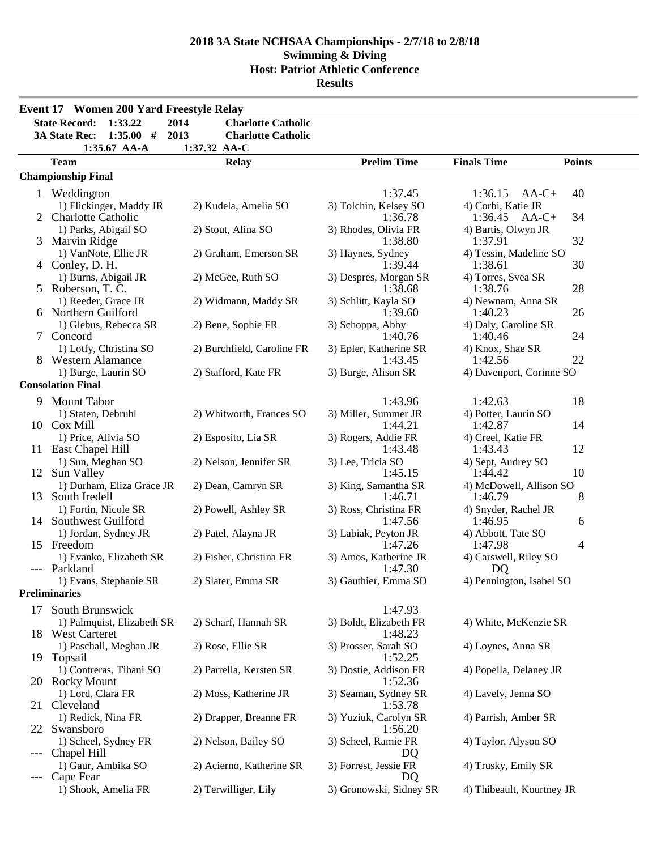|       | <b>Event 17 Women 200 Yard Freestyle Relay</b>                                                      |                                                                        |                                   |                                                 |
|-------|-----------------------------------------------------------------------------------------------------|------------------------------------------------------------------------|-----------------------------------|-------------------------------------------------|
|       | <b>State Record:</b><br>1:33.22<br>2014<br><b>3A State Rec:</b><br>1:35.00#<br>2013<br>1:35.67 AA-A | <b>Charlotte Catholic</b><br><b>Charlotte Catholic</b><br>1:37.32 AA-C |                                   |                                                 |
|       | <b>Team</b>                                                                                         | <b>Relay</b>                                                           | <b>Prelim Time</b>                | <b>Finals Time</b><br><b>Points</b>             |
|       | <b>Championship Final</b>                                                                           |                                                                        |                                   |                                                 |
|       | 1 Weddington<br>1) Flickinger, Maddy JR                                                             | 2) Kudela, Amelia SO                                                   | 1:37.45<br>3) Tolchin, Kelsey SO  | 1:36.15<br>40<br>$AA-C+$<br>4) Corbi, Katie JR  |
|       | 2 Charlotte Catholic<br>1) Parks, Abigail SO                                                        | 2) Stout, Alina SO                                                     | 1:36.78<br>3) Rhodes, Olivia FR   | 1:36.45<br>$AA-C+$<br>34<br>4) Bartis, Olwyn JR |
|       | 3 Marvin Ridge                                                                                      |                                                                        | 1:38.80                           | 32<br>1:37.91                                   |
|       | 1) VanNote, Ellie JR<br>4 Conley, D. H.                                                             | 2) Graham, Emerson SR                                                  | 3) Haynes, Sydney<br>1:39.44      | 4) Tessin, Madeline SO<br>1:38.61<br>30         |
|       | 1) Burns, Abigail JR<br>5 Roberson, T. C.                                                           | 2) McGee, Ruth SO                                                      | 3) Despres, Morgan SR<br>1:38.68  | 4) Torres, Svea SR<br>28<br>1:38.76             |
|       | 1) Reeder, Grace JR<br>6 Northern Guilford                                                          | 2) Widmann, Maddy SR                                                   | 3) Schlitt, Kayla SO<br>1:39.60   | 4) Newnam, Anna SR<br>1:40.23<br>26             |
|       | 1) Glebus, Rebecca SR<br>7 Concord                                                                  | 2) Bene, Sophie FR                                                     | 3) Schoppa, Abby<br>1:40.76       | 4) Daly, Caroline SR<br>24<br>1:40.46           |
|       | 1) Lotfy, Christina SO<br>8 Western Alamance                                                        | 2) Burchfield, Caroline FR                                             | 3) Epler, Katherine SR<br>1:43.45 | 4) Knox, Shae SR<br>22<br>1:42.56               |
|       | 1) Burge, Laurin SO<br><b>Consolation Final</b>                                                     | 2) Stafford, Kate FR                                                   | 3) Burge, Alison SR               | 4) Davenport, Corinne SO                        |
| 9     | <b>Mount Tabor</b>                                                                                  |                                                                        | 1:43.96                           | 1:42.63<br>18                                   |
|       | 1) Staten, Debruhl<br>10 Cox Mill                                                                   | 2) Whitworth, Frances SO                                               | 3) Miller, Summer JR<br>1:44.21   | 4) Potter, Laurin SO<br>1:42.87<br>14           |
|       | 1) Price, Alivia SO<br>11 East Chapel Hill                                                          | 2) Esposito, Lia SR                                                    | 3) Rogers, Addie FR<br>1:43.48    | 4) Creel, Katie FR<br>12<br>1:43.43             |
|       | 1) Sun, Meghan SO<br>12 Sun Valley                                                                  | 2) Nelson, Jennifer SR                                                 | 3) Lee, Tricia SO<br>1:45.15      | 4) Sept, Audrey SO<br>10<br>1:44.42             |
| 13    | 1) Durham, Eliza Grace JR<br>South Iredell                                                          | 2) Dean, Camryn SR                                                     | 3) King, Samantha SR<br>1:46.71   | 4) McDowell, Allison SO<br>8<br>1:46.79         |
|       | 1) Fortin, Nicole SR<br>14 Southwest Guilford                                                       | 2) Powell, Ashley SR                                                   | 3) Ross, Christina FR<br>1:47.56  | 4) Snyder, Rachel JR<br>1:46.95<br>6            |
|       | 1) Jordan, Sydney JR<br>15 Freedom                                                                  | 2) Patel, Alayna JR                                                    | 3) Labiak, Peyton JR<br>1:47.26   | 4) Abbott, Tate SO<br>1:47.98<br>4              |
|       | 1) Evanko, Elizabeth SR<br>Parkland                                                                 | 2) Fisher, Christina FR                                                | 3) Amos, Katherine JR<br>1:47.30  | 4) Carswell, Riley SO<br>DQ                     |
|       | 1) Evans, Stephanie SR                                                                              | 2) Slater, Emma SR                                                     | 3) Gauthier, Emma SO              | 4) Pennington, Isabel SO                        |
|       | <b>Preliminaries</b>                                                                                |                                                                        |                                   |                                                 |
| 17    | South Brunswick<br>1) Palmquist, Elizabeth SR                                                       | 2) Scharf, Hannah SR                                                   | 1:47.93<br>3) Boldt, Elizabeth FR | 4) White, McKenzie SR                           |
| 18    | <b>West Carteret</b><br>1) Paschall, Meghan JR                                                      | 2) Rose, Ellie SR                                                      | 1:48.23<br>3) Prosser, Sarah SO   | 4) Loynes, Anna SR                              |
|       | 19 Topsail<br>1) Contreras, Tihani SO                                                               | 2) Parrella, Kersten SR                                                | 1:52.25<br>3) Dostie, Addison FR  | 4) Popella, Delaney JR                          |
|       | 20 Rocky Mount<br>1) Lord, Clara FR                                                                 | 2) Moss, Katherine JR                                                  | 1:52.36<br>3) Seaman, Sydney SR   | 4) Lavely, Jenna SO                             |
| 21    | Cleveland<br>1) Redick, Nina FR                                                                     | 2) Drapper, Breanne FR                                                 | 1:53.78<br>3) Yuziuk, Carolyn SR  | 4) Parrish, Amber SR                            |
| 22    | Swansboro<br>1) Scheel, Sydney FR                                                                   | 2) Nelson, Bailey SO                                                   | 1:56.20<br>3) Scheel, Ramie FR    | 4) Taylor, Alyson SO                            |
| $---$ | Chapel Hill<br>1) Gaur, Ambika SO                                                                   | 2) Acierno, Katherine SR                                               | DQ.<br>3) Forrest, Jessie FR      | 4) Trusky, Emily SR                             |
|       | Cape Fear                                                                                           |                                                                        | DQ                                |                                                 |
|       | 1) Shook, Amelia FR                                                                                 | 2) Terwilliger, Lily                                                   | 3) Gronowski, Sidney SR           | 4) Thibeault, Kourtney JR                       |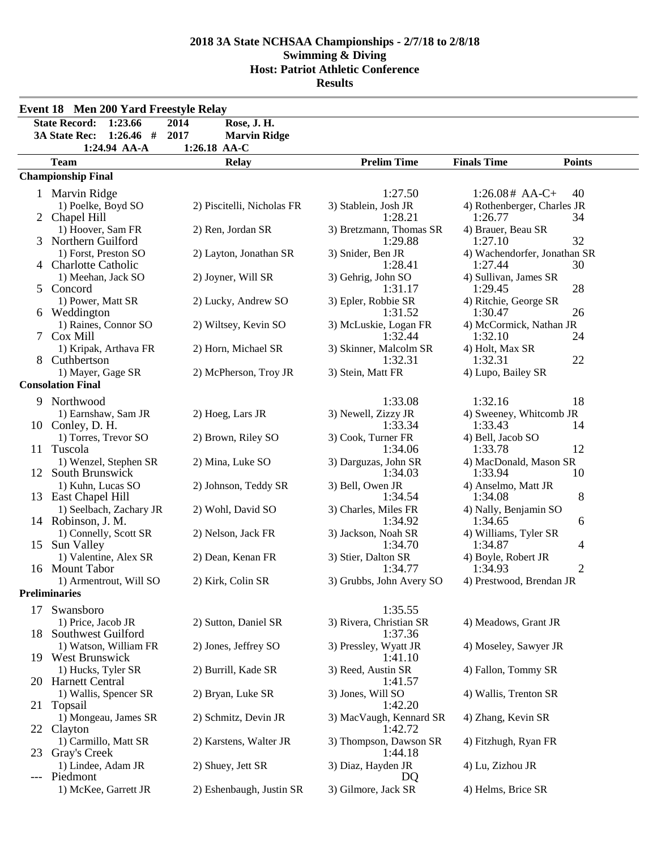|       | <b>Event 18 Men 200 Yard Freestyle Relay</b> |                             |                                    |                                        |  |
|-------|----------------------------------------------|-----------------------------|------------------------------------|----------------------------------------|--|
|       | <b>State Record:</b><br>1:23.66              | 2014<br>Rose, J. H.         |                                    |                                        |  |
|       | <b>3A State Rec:</b><br>$1:26.46$ #          | 2017<br><b>Marvin Ridge</b> |                                    |                                        |  |
|       | 1:24.94 AA-A                                 | 1:26.18 AA-C                |                                    |                                        |  |
|       | <b>Team</b>                                  | <b>Relay</b>                | <b>Prelim Time</b>                 | <b>Finals Time</b><br><b>Points</b>    |  |
|       | <b>Championship Final</b>                    |                             |                                    |                                        |  |
|       | 1 Marvin Ridge                               |                             | 1:27.50                            | $1:26.08# AA-C+$<br>40                 |  |
|       | 1) Poelke, Boyd SO                           | 2) Piscitelli, Nicholas FR  | 3) Stablein, Josh JR               | 4) Rothenberger, Charles JR            |  |
|       | 2 Chapel Hill                                |                             | 1:28.21                            | 1:26.77<br>34                          |  |
|       | 1) Hoover, Sam FR                            | 2) Ren, Jordan SR           | 3) Bretzmann, Thomas SR            | 4) Brauer, Beau SR                     |  |
|       | 3 Northern Guilford                          |                             | 1:29.88                            | 32<br>1:27.10                          |  |
|       | 1) Forst, Preston SO                         | 2) Layton, Jonathan SR      | 3) Snider, Ben JR                  | 4) Wachendorfer, Jonathan SR           |  |
|       | <b>Charlotte Catholic</b>                    |                             | 1:28.41                            | 1:27.44<br>30                          |  |
| 5     | 1) Meehan, Jack SO<br>Concord                | 2) Joyner, Will SR          | 3) Gehrig, John SO<br>1:31.17      | 4) Sullivan, James SR<br>28<br>1:29.45 |  |
|       | 1) Power, Matt SR                            | 2) Lucky, Andrew SO         | 3) Epler, Robbie SR                | 4) Ritchie, George SR                  |  |
|       | 6 Weddington                                 |                             | 1:31.52                            | 1:30.47<br>26                          |  |
|       | 1) Raines, Connor SO                         | 2) Wiltsey, Kevin SO        | 3) McLuskie, Logan FR              | 4) McCormick, Nathan JR                |  |
| 7     | Cox Mill                                     |                             | 1:32.44                            | 1:32.10<br>24                          |  |
|       | 1) Kripak, Arthava FR                        | 2) Horn, Michael SR         | 3) Skinner, Malcolm SR             | 4) Holt, Max SR                        |  |
|       | 8 Cuthbertson                                |                             | 1:32.31                            | 1:32.31<br>22                          |  |
|       | 1) Mayer, Gage SR                            | 2) McPherson, Troy JR       | 3) Stein, Matt FR                  | 4) Lupo, Bailey SR                     |  |
|       | <b>Consolation Final</b>                     |                             |                                    |                                        |  |
|       | 9 Northwood                                  |                             | 1:33.08                            | 18<br>1:32.16                          |  |
|       | 1) Earnshaw, Sam JR                          | 2) Hoeg, Lars JR            | 3) Newell, Zizzy JR                | 4) Sweeney, Whitcomb JR                |  |
|       | 10 Conley, D. H.                             |                             | 1:33.34                            | 1:33.43<br>14                          |  |
|       | 1) Torres, Trevor SO<br>11 Tuscola           | 2) Brown, Riley SO          | 3) Cook, Turner FR<br>1:34.06      | 4) Bell, Jacob SO<br>12<br>1:33.78     |  |
|       | 1) Wenzel, Stephen SR                        | 2) Mina, Luke SO            | 3) Darguzas, John SR               | 4) MacDonald, Mason SR                 |  |
|       | 12 South Brunswick                           |                             | 1:34.03                            | 1:33.94<br>10                          |  |
|       | 1) Kuhn, Lucas SO                            | 2) Johnson, Teddy SR        | 3) Bell, Owen JR                   | 4) Anselmo, Matt JR                    |  |
|       | 13 East Chapel Hill                          |                             | 1:34.54                            | 8<br>1:34.08                           |  |
|       | 1) Seelbach, Zachary JR                      | 2) Wohl, David SO           | 3) Charles, Miles FR               | 4) Nally, Benjamin SO                  |  |
|       | 14 Robinson, J. M.                           |                             | 1:34.92                            | 1:34.65<br>6                           |  |
|       | 1) Connelly, Scott SR                        | 2) Nelson, Jack FR          | 3) Jackson, Noah SR                | 4) Williams, Tyler SR                  |  |
|       | 15 Sun Valley                                |                             | 1:34.70                            | 1:34.87<br>4                           |  |
|       | 1) Valentine, Alex SR<br>16 Mount Tabor      | 2) Dean, Kenan FR           | 3) Stier, Dalton SR<br>1:34.77     | 4) Boyle, Robert JR<br>2<br>1:34.93    |  |
|       | 1) Armentrout, Will SO                       | 2) Kirk, Colin SR           | 3) Grubbs, John Avery SO           | 4) Prestwood, Brendan JR               |  |
|       | <b>Preliminaries</b>                         |                             |                                    |                                        |  |
| 17    | Swansboro                                    |                             | 1:35.55                            |                                        |  |
|       | 1) Price, Jacob JR                           | 2) Sutton, Daniel SR        | 3) Rivera, Christian SR            | 4) Meadows, Grant JR                   |  |
|       | 18 Southwest Guilford                        |                             | 1:37.36                            |                                        |  |
|       | 1) Watson, William FR                        | 2) Jones, Jeffrey SO        | 3) Pressley, Wyatt JR              | 4) Moseley, Sawyer JR                  |  |
|       | 19 West Brunswick                            |                             | 1:41.10                            |                                        |  |
|       | 1) Hucks, Tyler SR                           | 2) Burrill, Kade SR         | 3) Reed, Austin SR                 | 4) Fallon, Tommy SR                    |  |
|       | 20 Harnett Central                           |                             | 1:41.57                            |                                        |  |
|       | 1) Wallis, Spencer SR                        | 2) Bryan, Luke SR           | 3) Jones, Will SO                  | 4) Wallis, Trenton SR                  |  |
|       | 21 Topsail                                   |                             | 1:42.20                            |                                        |  |
|       | 1) Mongeau, James SR                         | 2) Schmitz, Devin JR        | 3) MacVaugh, Kennard SR<br>1:42.72 | 4) Zhang, Kevin SR                     |  |
| 22    | Clayton<br>1) Carmillo, Matt SR              | 2) Karstens, Walter JR      | 3) Thompson, Dawson SR             | 4) Fitzhugh, Ryan FR                   |  |
| 23    | Gray's Creek                                 |                             | 1:44.18                            |                                        |  |
|       | 1) Lindee, Adam JR                           | 2) Shuey, Jett SR           | 3) Diaz, Hayden JR                 | 4) Lu, Zizhou JR                       |  |
| $---$ | Piedmont                                     |                             | DQ                                 |                                        |  |
|       | 1) McKee, Garrett JR                         | 2) Eshenbaugh, Justin SR    | 3) Gilmore, Jack SR                | 4) Helms, Brice SR                     |  |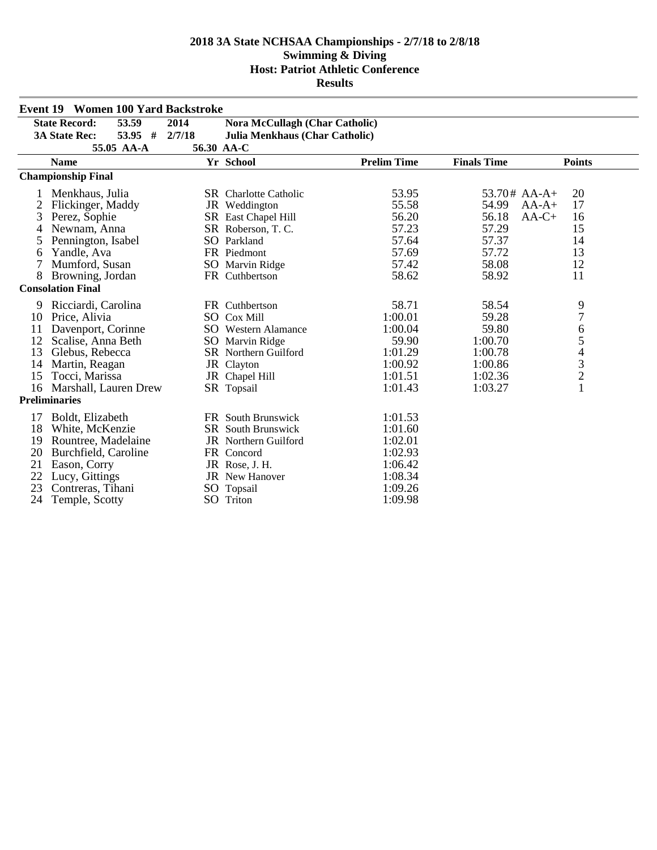|    | <b>Event 19 Women 100 Yard Backstroke</b> |        |                                       |                    |                    |                                            |
|----|-------------------------------------------|--------|---------------------------------------|--------------------|--------------------|--------------------------------------------|
|    | <b>State Record:</b><br>53.59             | 2014   | <b>Nora McCullagh (Char Catholic)</b> |                    |                    |                                            |
|    | 53.95 #<br><b>3A State Rec:</b>           | 2/7/18 | <b>Julia Menkhaus (Char Catholic)</b> |                    |                    |                                            |
|    | 55.05 AA-A                                |        | 56.30 AA-C                            |                    |                    |                                            |
|    | <b>Name</b>                               |        | Yr School                             | <b>Prelim Time</b> | <b>Finals Time</b> | <b>Points</b>                              |
|    | <b>Championship Final</b>                 |        |                                       |                    |                    |                                            |
|    | Menkhaus, Julia                           |        | <b>SR</b> Charlotte Catholic          | 53.95              | $53.70#$ AA-A+     | 20                                         |
| 2  | Flickinger, Maddy                         |        | JR Weddington                         | 55.58              | 54.99              | 17<br>$AA-A+$                              |
| 3  | Perez, Sophie                             |        | SR East Chapel Hill                   | 56.20              | 56.18              | $AA-C+$<br>16                              |
| 4  | Newnam, Anna                              |        | SR Roberson, T.C.                     | 57.23              | 57.29              | 15                                         |
| 5  | Pennington, Isabel                        |        | SO Parkland                           | 57.64              | 57.37              | 14                                         |
| 6  | Yandle, Ava                               |        | FR Piedmont                           | 57.69              | 57.72              | 13                                         |
| 7  | Mumford, Susan                            |        | SO Marvin Ridge                       | 57.42              | 58.08              | 12                                         |
| 8  | Browning, Jordan                          |        | FR Cuthbertson                        | 58.62              | 58.92              | 11                                         |
|    | <b>Consolation Final</b>                  |        |                                       |                    |                    |                                            |
| 9  | Ricciardi, Carolina                       |        | FR Cuthbertson                        | 58.71              | 58.54              | 9                                          |
| 10 | Price, Alivia                             |        | <b>SO</b> Cox Mill                    | 1:00.01            | 59.28              | $\boldsymbol{7}$                           |
| 11 | Davenport, Corinne                        |        | <b>SO</b> Western Alamance            | 1:00.04            | 59.80              | 6                                          |
| 12 | Scalise, Anna Beth                        |        | SO Marvin Ridge                       | 59.90              | 1:00.70            | 5                                          |
| 13 | Glebus, Rebecca                           |        | <b>SR</b> Northern Guilford           | 1:01.29            | 1:00.78            |                                            |
| 14 | Martin, Reagan                            |        | JR Clayton                            | 1:00.92            | 1:00.86            |                                            |
| 15 | Tocci, Marissa                            |        | JR Chapel Hill                        | 1:01.51            | 1:02.36            | $\begin{array}{c} 4 \\ 3 \\ 2 \end{array}$ |
| 16 | Marshall, Lauren Drew                     |        | SR Topsail                            | 1:01.43            | 1:03.27            | $\mathbf{1}$                               |
|    | <b>Preliminaries</b>                      |        |                                       |                    |                    |                                            |
| 17 | Boldt, Elizabeth                          |        | FR South Brunswick                    | 1:01.53            |                    |                                            |
| 18 | White, McKenzie                           |        | <b>SR</b> South Brunswick             | 1:01.60            |                    |                                            |
| 19 | Rountree, Madelaine                       |        | JR Northern Guilford                  | 1:02.01            |                    |                                            |
| 20 | Burchfield, Caroline                      |        | FR Concord                            | 1:02.93            |                    |                                            |
| 21 | Eason, Corry                              |        | JR Rose, J. H.                        | 1:06.42            |                    |                                            |
| 22 | Lucy, Gittings                            |        | <b>JR</b> New Hanover                 | 1:08.34            |                    |                                            |
| 23 | Contreras, Tihani                         | SO     | Topsail                               | 1:09.26            |                    |                                            |
| 24 | Temple, Scotty                            |        | SO Triton                             | 1:09.98            |                    |                                            |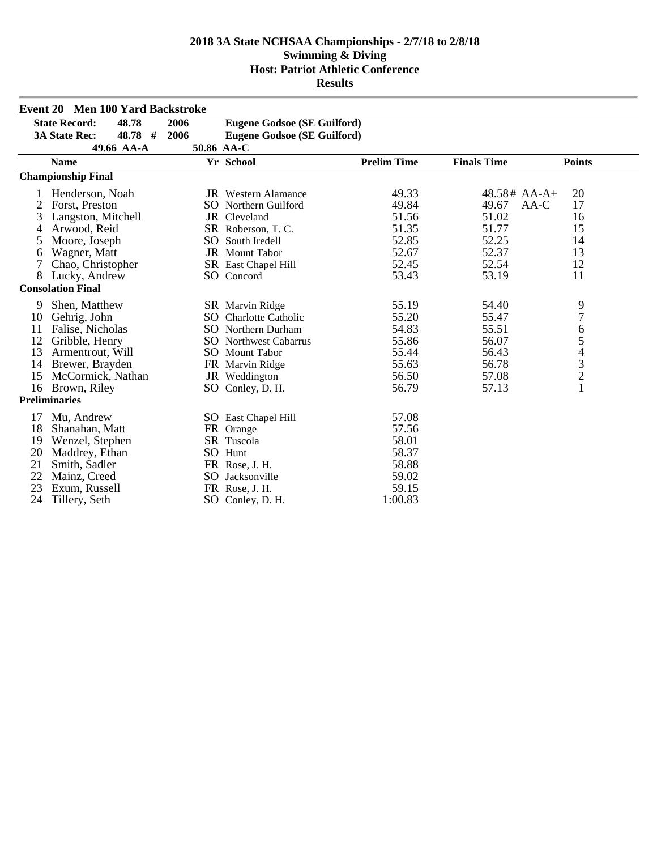|    | <b>Event 20 Men 100 Yard Backstroke</b> |      |                                    |                    |                    |                                            |
|----|-----------------------------------------|------|------------------------------------|--------------------|--------------------|--------------------------------------------|
|    | <b>State Record:</b><br>48.78           | 2006 | <b>Eugene Godsoe (SE Guilford)</b> |                    |                    |                                            |
|    | <b>3A State Rec:</b><br>$48.78$ #       | 2006 | <b>Eugene Godsoe (SE Guilford)</b> |                    |                    |                                            |
|    | 49.66 AA-A                              |      | 50.86 AA-C                         |                    |                    |                                            |
|    | <b>Name</b>                             |      | Yr School                          | <b>Prelim Time</b> | <b>Finals Time</b> | <b>Points</b>                              |
|    | <b>Championship Final</b>               |      |                                    |                    |                    |                                            |
|    | Henderson, Noah                         |      | <b>JR</b> Western Alamance         | 49.33              | $48.58#$ AA-A+     | 20                                         |
| 2  | Forst, Preston                          |      | <b>SO</b> Northern Guilford        | 49.84              | 49.67<br>AA-C      | 17                                         |
| 3  | Langston, Mitchell                      |      | JR Cleveland                       | 51.56              | 51.02              | 16                                         |
| 4  | Arwood, Reid                            |      | SR Roberson, T. C.                 | 51.35              | 51.77              | 15                                         |
| 5  | Moore, Joseph                           |      | SO South Iredell                   | 52.85              | 52.25              | 14                                         |
| 6  | Wagner, Matt                            |      | JR Mount Tabor                     | 52.67              | 52.37              | 13                                         |
| 7  | Chao, Christopher                       |      | SR East Chapel Hill                | 52.45              | 52.54              | 12                                         |
| 8  | Lucky, Andrew                           |      | SO Concord                         | 53.43              | 53.19              | 11                                         |
|    | <b>Consolation Final</b>                |      |                                    |                    |                    |                                            |
| 9  | Shen, Matthew                           |      | SR Marvin Ridge                    | 55.19              | 54.40              | 9                                          |
| 10 | Gehrig, John                            | SO.  | <b>Charlotte Catholic</b>          | 55.20              | 55.47              | $\overline{7}$                             |
| 11 | Falise, Nicholas                        |      | <b>SO</b> Northern Durham          | 54.83              | 55.51              | 6                                          |
| 12 | Gribble, Henry                          |      | <b>SO</b> Northwest Cabarrus       | 55.86              | 56.07              | 5                                          |
| 13 | Armentrout, Will                        |      | SO Mount Tabor                     | 55.44              | 56.43              |                                            |
| 14 | Brewer, Brayden                         |      | FR Marvin Ridge                    | 55.63              | 56.78              |                                            |
| 15 | McCormick, Nathan                       |      | JR Weddington                      | 56.50              | 57.08              | $\begin{array}{c} 4 \\ 3 \\ 2 \end{array}$ |
|    | 16 Brown, Riley                         |      | SO Conley, D. H.                   | 56.79              | 57.13              | $\mathbf{1}$                               |
|    | <b>Preliminaries</b>                    |      |                                    |                    |                    |                                            |
| 17 | Mu, Andrew                              |      | SO East Chapel Hill                | 57.08              |                    |                                            |
| 18 | Shanahan, Matt                          |      | FR Orange                          | 57.56              |                    |                                            |
| 19 | Wenzel, Stephen                         |      | SR Tuscola                         | 58.01              |                    |                                            |
| 20 | Maddrey, Ethan                          |      | SO Hunt                            | 58.37              |                    |                                            |
| 21 | Smith, Sadler                           |      | FR Rose, J. H.                     | 58.88              |                    |                                            |
| 22 | Mainz, Creed                            | SO.  | Jacksonville                       | 59.02              |                    |                                            |
| 23 | Exum, Russell                           |      | FR Rose, J. H.                     | 59.15              |                    |                                            |
| 24 | Tillery, Seth                           | SO   | Conley, D. H.                      | 1:00.83            |                    |                                            |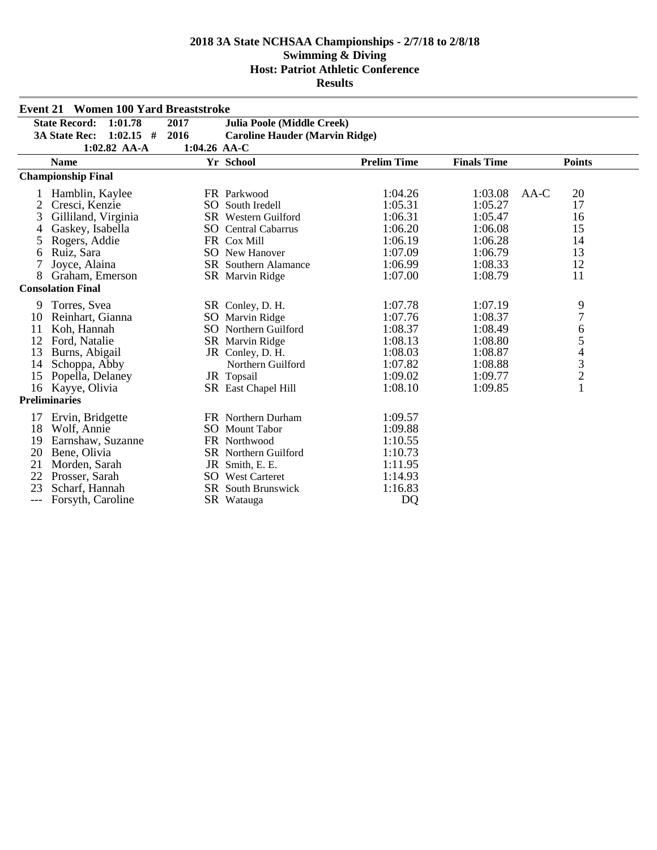|       | <b>Event 21 Women 100 Yard Breaststroke</b> |              |                                       |                    |                    |                                                 |
|-------|---------------------------------------------|--------------|---------------------------------------|--------------------|--------------------|-------------------------------------------------|
|       | <b>State Record:</b><br>1:01.78             | 2017         | <b>Julia Poole (Middle Creek)</b>     |                    |                    |                                                 |
|       | <b>3A State Rec:</b><br>$1:02.15$ #         | 2016         | <b>Caroline Hauder (Marvin Ridge)</b> |                    |                    |                                                 |
|       | $1:02.82$ AA-A                              | 1:04.26 AA-C |                                       |                    |                    |                                                 |
|       | <b>Name</b>                                 |              | Yr School                             | <b>Prelim Time</b> | <b>Finals Time</b> | <b>Points</b>                                   |
|       | <b>Championship Final</b>                   |              |                                       |                    |                    |                                                 |
|       | Hamblin, Kaylee                             |              | FR Parkwood                           | 1:04.26            | 1:03.08            | 20<br>AA-C                                      |
| 2     | Cresci, Kenzie                              |              | SO South Iredell                      | 1:05.31            | 1:05.27            | 17                                              |
| 3     | Gilliland, Virginia                         |              | SR Western Guilford                   | 1:06.31            | 1:05.47            | 16                                              |
|       | Gaskey, Isabella                            |              | <b>SO</b> Central Cabarrus            | 1:06.20            | 1:06.08            | 15                                              |
| 5     | Rogers, Addie                               |              | FR Cox Mill                           | 1:06.19            | 1:06.28            | 14                                              |
| 6     | Ruiz, Sara                                  |              | <b>SO</b> New Hanover                 | 1:07.09            | 1:06.79            | 13                                              |
|       | Joyce, Alaina                               |              | <b>SR</b> Southern Alamance           | 1:06.99            | 1:08.33            | 12                                              |
| 8     | Graham, Emerson                             |              | SR Marvin Ridge                       | 1:07.00            | 1:08.79            | 11                                              |
|       | <b>Consolation Final</b>                    |              |                                       |                    |                    |                                                 |
| 9     | Torres, Svea                                |              | SR Conley, D. H.                      | 1:07.78            | 1:07.19            | 9                                               |
| 10    | Reinhart, Gianna                            |              | SO Marvin Ridge                       | 1:07.76            | 1:08.37            | $\overline{7}$                                  |
| 11    | Koh, Hannah                                 |              | SO Northern Guilford                  | 1:08.37            | 1:08.49            | 6                                               |
| 12    | Ford, Natalie                               |              | SR Marvin Ridge                       | 1:08.13            | 1:08.80            | $\begin{array}{c} 5 \\ 4 \\ 3 \\ 2 \end{array}$ |
| 13    | Burns, Abigail                              |              | JR Conley, D. H.                      | 1:08.03            | 1:08.87            |                                                 |
| 14    | Schoppa, Abby                               |              | Northern Guilford                     | 1:07.82            | 1:08.88            |                                                 |
| 15    | Popella, Delaney                            |              | JR Topsail                            | 1:09.02            | 1:09.77            |                                                 |
| 16    | Kayye, Olivia                               |              | SR East Chapel Hill                   | 1:08.10            | 1:09.85            | $\mathbf{1}$                                    |
|       | <b>Preliminaries</b>                        |              |                                       |                    |                    |                                                 |
| 17    | Ervin, Bridgette                            |              | FR Northern Durham                    | 1:09.57            |                    |                                                 |
| 18    | Wolf, Annie                                 |              | <b>SO</b> Mount Tabor                 | 1:09.88            |                    |                                                 |
| 19    | Earnshaw, Suzanne                           |              | FR Northwood                          | 1:10.55            |                    |                                                 |
| 20    | Bene, Olivia                                |              | <b>SR</b> Northern Guilford           | 1:10.73            |                    |                                                 |
| 21    | Morden, Sarah                               |              | JR Smith, E. E.                       | 1:11.95            |                    |                                                 |
| 22    | Prosser, Sarah                              |              | <b>SO</b> West Carteret               | 1:14.93            |                    |                                                 |
| 23    | Scharf, Hannah                              |              | SR South Brunswick                    | 1:16.83            |                    |                                                 |
| $---$ | Forsyth, Caroline                           |              | SR Watauga                            | D <sub>O</sub>     |                    |                                                 |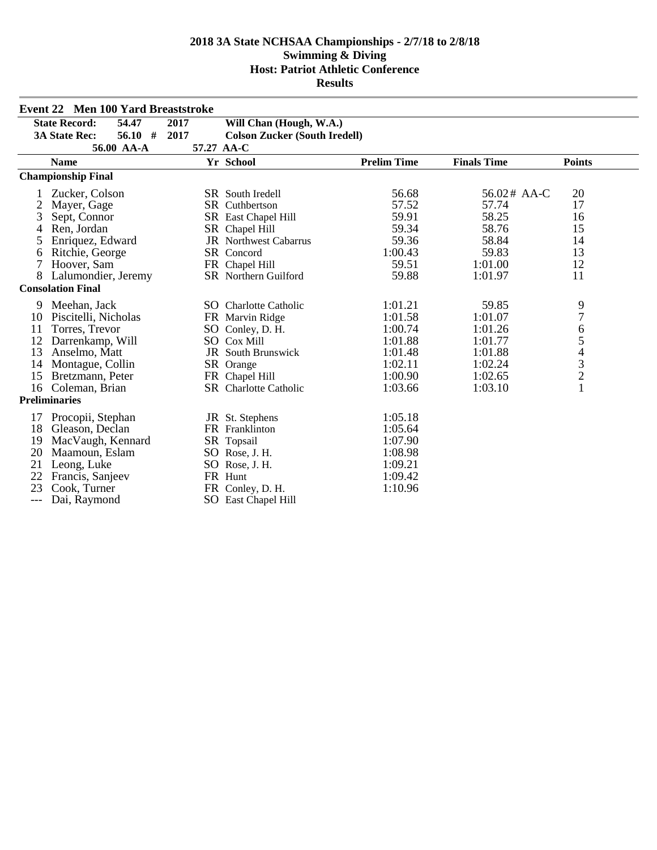| <b>Event 22 Men 100 Yard Breaststroke</b> |                                   |            |                                      |                    |                    |                                            |
|-------------------------------------------|-----------------------------------|------------|--------------------------------------|--------------------|--------------------|--------------------------------------------|
|                                           | <b>State Record:</b><br>54.47     | 2017       | Will Chan (Hough, W.A.)              |                    |                    |                                            |
|                                           | $56.10$ #<br><b>3A State Rec:</b> | 2017       | <b>Colson Zucker (South Iredell)</b> |                    |                    |                                            |
|                                           | 56.00 AA-A                        | 57.27 AA-C |                                      |                    |                    |                                            |
|                                           | <b>Name</b>                       |            | Yr School                            | <b>Prelim Time</b> | <b>Finals Time</b> | <b>Points</b>                              |
|                                           | <b>Championship Final</b>         |            |                                      |                    |                    |                                            |
|                                           | Zucker, Colson                    |            | SR South Iredell                     | 56.68              | 56.02# AA-C        | 20                                         |
| $\overline{c}$                            | Mayer, Gage                       |            | SR Cuthbertson                       | 57.52              | 57.74              | 17                                         |
| 3                                         | Sept, Connor                      |            | SR East Chapel Hill                  | 59.91              | 58.25              | 16                                         |
| 4                                         | Ren, Jordan                       |            | SR Chapel Hill                       | 59.34              | 58.76              | 15                                         |
| 5                                         | Enriquez, Edward                  |            | <b>JR</b> Northwest Cabarrus         | 59.36              | 58.84              | 14                                         |
| 6                                         | Ritchie, George                   |            | SR Concord                           | 1:00.43            | 59.83              | 13                                         |
| 7                                         | Hoover, Sam                       |            | FR Chapel Hill                       | 59.51              | 1:01.00            | 12                                         |
| 8                                         | Lalumondier, Jeremy               |            | SR Northern Guilford                 | 59.88              | 1:01.97            | 11                                         |
|                                           | <b>Consolation Final</b>          |            |                                      |                    |                    |                                            |
| 9                                         | Meehan, Jack                      |            | SO Charlotte Catholic                | 1:01.21            | 59.85              | 9                                          |
| 10                                        | Piscitelli, Nicholas              |            | FR Marvin Ridge                      | 1:01.58            | 1:01.07            | $\overline{7}$                             |
| 11                                        | Torres, Trevor                    |            | SO Conley, D. H.                     | 1:00.74            | 1:01.26            | 6                                          |
| 12                                        | Darrenkamp, Will                  |            | SO Cox Mill                          | 1:01.88            | 1:01.77            | 5                                          |
| 13                                        | Anselmo, Matt                     |            | JR South Brunswick                   | 1:01.48            | 1:01.88            | $\overline{4}$                             |
| 14                                        | Montague, Collin                  |            | SR Orange                            | 1:02.11            | 1:02.24            |                                            |
| 15                                        | Bretzmann, Peter                  |            | FR Chapel Hill                       | 1:00.90            | 1:02.65            | $\begin{array}{c} 3 \\ 2 \\ 1 \end{array}$ |
| 16                                        | Coleman, Brian                    |            | <b>SR</b> Charlotte Catholic         | 1:03.66            | 1:03.10            |                                            |
|                                           | <b>Preliminaries</b>              |            |                                      |                    |                    |                                            |
| 17                                        | Procopii, Stephan                 |            | JR St. Stephens                      | 1:05.18            |                    |                                            |
| 18                                        | Gleason, Declan                   |            | FR Franklinton                       | 1:05.64            |                    |                                            |
| 19                                        | MacVaugh, Kennard                 |            | SR Topsail                           | 1:07.90            |                    |                                            |
| 20                                        | Maamoun, Eslam                    |            | SO Rose, J. H.                       | 1:08.98            |                    |                                            |
| 21                                        | Leong, Luke                       |            | SO Rose, J. H.                       | 1:09.21            |                    |                                            |
| 22                                        | Francis, Sanjeev                  |            | FR Hunt                              | 1:09.42            |                    |                                            |
| 23                                        | Cook, Turner                      |            | FR Conley, D. H.                     | 1:10.96            |                    |                                            |
| $---$                                     | Dai, Raymond                      |            | SO East Chapel Hill                  |                    |                    |                                            |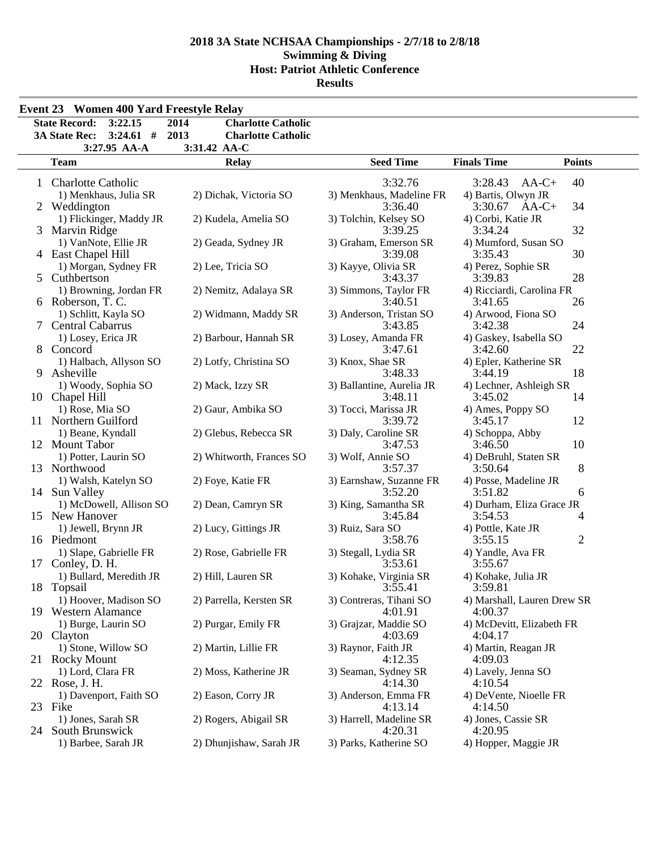|              | <b>State Record:</b><br>3:22.15<br><b>3A State Rec:</b><br>$3:24.61$ # | 2014<br><b>Charlotte Catholic</b><br>2013<br><b>Charlotte Catholic</b> |                           |                             |                |
|--------------|------------------------------------------------------------------------|------------------------------------------------------------------------|---------------------------|-----------------------------|----------------|
|              | 3:27.95 AA-A                                                           | 3:31.42 AA-C                                                           |                           |                             |                |
|              | <b>Team</b>                                                            | <b>Relay</b>                                                           | <b>Seed Time</b>          | <b>Finals Time</b>          | <b>Points</b>  |
| $\mathbf{1}$ | <b>Charlotte Catholic</b>                                              |                                                                        | 3:32.76                   | 3:28.43<br>$AA-C+$          | 40             |
|              | 1) Menkhaus, Julia SR                                                  | 2) Dichak, Victoria SO                                                 | 3) Menkhaus, Madeline FR  | 4) Bartis, Olwyn JR         |                |
|              | 2 Weddington                                                           |                                                                        | 3:36.40                   | 3:30.67<br>$AA-C+$          | 34             |
|              | 1) Flickinger, Maddy JR                                                | 2) Kudela, Amelia SO                                                   | 3) Tolchin, Kelsey SO     | 4) Corbi, Katie JR          |                |
|              | 3 Marvin Ridge                                                         |                                                                        | 3:39.25                   | 3:34.24                     | 32             |
|              | 1) VanNote, Ellie JR                                                   | 2) Geada, Sydney JR                                                    | 3) Graham, Emerson SR     | 4) Mumford, Susan SO        |                |
|              | 4 East Chapel Hill                                                     |                                                                        | 3:39.08                   | 3:35.43                     | 30             |
|              | 1) Morgan, Sydney FR                                                   | 2) Lee, Tricia SO                                                      | 3) Kayye, Olivia SR       | 4) Perez, Sophie SR         |                |
| 5            | Cuthbertson                                                            |                                                                        | 3:43.37                   | 3:39.83                     | 28             |
|              | 1) Browning, Jordan FR                                                 | 2) Nemitz, Adalaya SR                                                  | 3) Simmons, Taylor FR     | 4) Ricciardi, Carolina FR   |                |
|              | 6 Roberson, T. C.                                                      |                                                                        | 3:40.51                   | 3:41.65                     | 26             |
|              | 1) Schlitt, Kayla SO                                                   | 2) Widmann, Maddy SR                                                   | 3) Anderson, Tristan SO   | 4) Arwood, Fiona SO         |                |
| 7            | Central Cabarrus                                                       |                                                                        | 3:43.85                   | 3:42.38                     | 24             |
|              | 1) Losey, Erica JR                                                     | 2) Barbour, Hannah SR                                                  | 3) Losey, Amanda FR       | 4) Gaskey, Isabella SO      |                |
|              | 8 Concord                                                              |                                                                        | 3:47.61                   | 3:42.60                     | 22             |
|              | 1) Halbach, Allyson SO                                                 | 2) Lotfy, Christina SO                                                 | 3) Knox, Shae SR          | 4) Epler, Katherine SR      |                |
| 9            | Asheville                                                              |                                                                        | 3:48.33                   | 3:44.19                     | 18             |
|              | 1) Woody, Sophia SO                                                    | 2) Mack, Izzy SR                                                       | 3) Ballantine, Aurelia JR | 4) Lechner, Ashleigh SR     |                |
|              | 10 Chapel Hill                                                         |                                                                        | 3:48.11                   | 3:45.02                     | 14             |
|              | 1) Rose, Mia SO                                                        | 2) Gaur, Ambika SO                                                     | 3) Tocci, Marissa JR      | 4) Ames, Poppy SO           |                |
|              | 11 Northern Guilford                                                   |                                                                        | 3:39.72                   | 3:45.17                     | 12             |
|              | 1) Beane, Kyndall                                                      | 2) Glebus, Rebecca SR                                                  | 3) Daly, Caroline SR      | 4) Schoppa, Abby            |                |
|              | 12 Mount Tabor                                                         |                                                                        | 3:47.53                   | 3:46.50                     | 10             |
|              | 1) Potter, Laurin SO                                                   | 2) Whitworth, Frances SO                                               | 3) Wolf, Annie SO         | 4) DeBruhl, Staten SR       |                |
| 13           | Northwood                                                              |                                                                        | 3:57.37                   | 3:50.64                     | 8              |
|              | 1) Walsh, Katelyn SO                                                   | 2) Foye, Katie FR                                                      | 3) Earnshaw, Suzanne FR   | 4) Posse, Madeline JR       |                |
|              | 14 Sun Valley                                                          |                                                                        | 3:52.20                   | 3:51.82                     | 6              |
|              | 1) McDowell, Allison SO                                                | 2) Dean, Camryn SR                                                     | 3) King, Samantha SR      | 4) Durham, Eliza Grace JR   |                |
|              | 15 New Hanover                                                         |                                                                        | 3:45.84                   | 3:54.53                     | 4              |
|              | 1) Jewell, Brynn JR                                                    | 2) Lucy, Gittings JR                                                   | 3) Ruiz, Sara SO          | 4) Pottle, Kate JR          |                |
|              | 16 Piedmont                                                            |                                                                        | 3:58.76                   | 3:55.15                     | $\overline{2}$ |
|              | 1) Slape, Gabrielle FR                                                 | 2) Rose, Gabrielle FR                                                  | 3) Stegall, Lydia SR      | 4) Yandle, Ava FR           |                |
| 17           | Conley, D. H.                                                          |                                                                        | 3:53.61                   | 3:55.67                     |                |
|              | 1) Bullard, Meredith JR                                                | 2) Hill, Lauren SR                                                     | 3) Kohake, Virginia SR    | 4) Kohake, Julia JR         |                |
|              | 18 Topsail                                                             |                                                                        | $3:\bar{5}5.41$           | 3:59.81                     |                |
|              | 1) Hoover, Madison SO                                                  | 2) Parrella, Kersten SR                                                | 3) Contreras, Tihani SO   | 4) Marshall, Lauren Drew SR |                |
|              | 19 Western Alamance                                                    |                                                                        | 4:01.91                   | 4:00.37                     |                |
|              | 1) Burge, Laurin SO                                                    | 2) Purgar, Emily FR                                                    | 3) Grajzar, Maddie SO     | 4) McDevitt, Elizabeth FR   |                |
|              | 20 Clayton                                                             |                                                                        | 4:03.69                   | 4:04.17                     |                |
|              | 1) Stone, Willow SO                                                    | 2) Martin, Lillie FR                                                   | 3) Raynor, Faith JR       | 4) Martin, Reagan JR        |                |
|              | 21 Rocky Mount                                                         |                                                                        | 4:12.35                   | 4:09.03                     |                |
|              | 1) Lord, Clara FR                                                      | 2) Moss, Katherine JR                                                  | 3) Seaman, Sydney SR      | 4) Lavely, Jenna SO         |                |
|              | 22 Rose, J. H.                                                         |                                                                        | 4:14.30                   | 4:10.54                     |                |
|              | 1) Davenport, Faith SO                                                 | 2) Eason, Corry JR                                                     | 3) Anderson, Emma FR      | 4) DeVente, Nioelle FR      |                |
|              | 23 Fike                                                                |                                                                        | 4:13.14                   | 4:14.50                     |                |
|              | 1) Jones, Sarah SR                                                     | 2) Rogers, Abigail SR                                                  | 3) Harrell, Madeline SR   | 4) Jones, Cassie SR         |                |
| 24.          | South Brunswick                                                        |                                                                        | 4:20.31                   | 4:20.95                     |                |
|              | 1) Barbee, Sarah JR                                                    | 2) Dhunjishaw, Sarah JR                                                | 3) Parks, Katherine SO    | 4) Hopper, Maggie JR        |                |